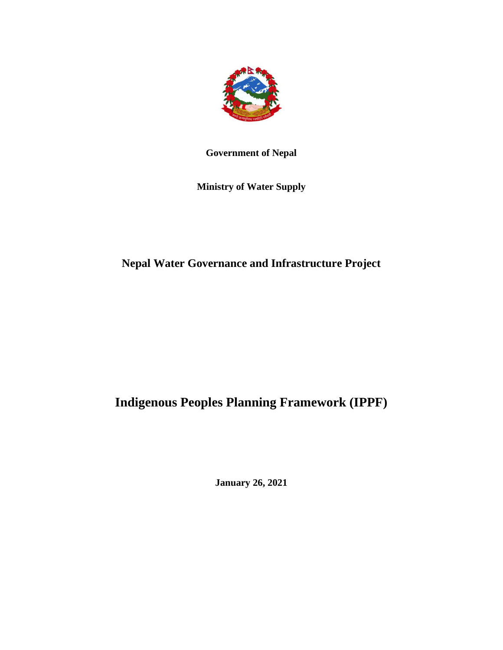

## **Government of Nepal**

**Ministry of Water Supply**

# **Nepal Water Governance and Infrastructure Project**

# **Indigenous Peoples Planning Framework (IPPF)**

**January 26, 2021**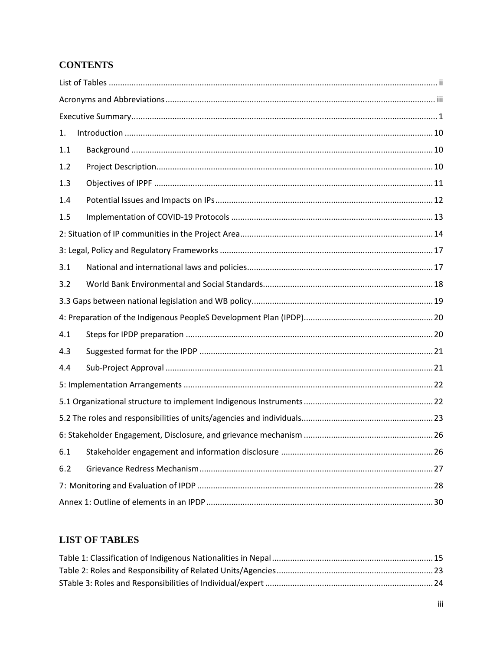# **CONTENTS**

| 1.  |  |
|-----|--|
| 1.1 |  |
| 1.2 |  |
| 1.3 |  |
| 1.4 |  |
| 1.5 |  |
|     |  |
|     |  |
| 3.1 |  |
| 3.2 |  |
|     |  |
|     |  |
| 4.1 |  |
| 4.3 |  |
| 4.4 |  |
|     |  |
|     |  |
|     |  |
|     |  |
| 6.1 |  |
| 6.2 |  |
|     |  |
|     |  |

## <span id="page-1-0"></span>**LIST OF TABLES**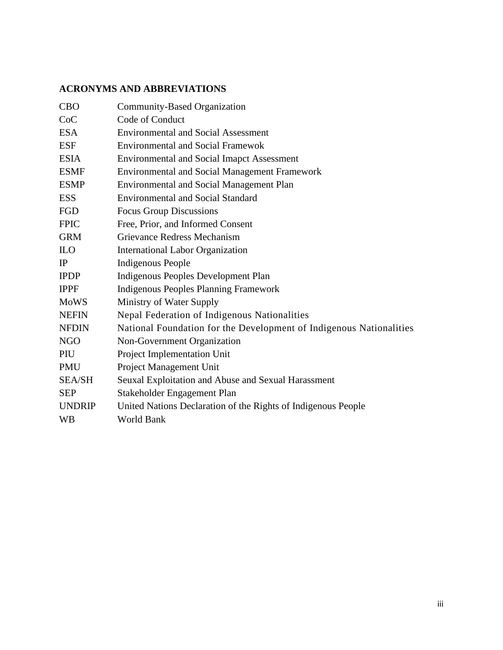## <span id="page-2-0"></span>**ACRONYMS AND ABBREVIATIONS**

| <b>CBO</b>    | Community-Based Organization                                        |
|---------------|---------------------------------------------------------------------|
| CoC           | Code of Conduct                                                     |
| <b>ESA</b>    | <b>Environmental and Social Assessment</b>                          |
| <b>ESF</b>    | <b>Environmental and Social Framewok</b>                            |
| <b>ESIA</b>   | <b>Environmental and Social Imapct Assessment</b>                   |
| <b>ESMF</b>   | <b>Environmental and Social Management Framework</b>                |
| <b>ESMP</b>   | <b>Environmental and Social Management Plan</b>                     |
| <b>ESS</b>    | <b>Environmental and Social Standard</b>                            |
| FGD           | <b>Focus Group Discussions</b>                                      |
| <b>FPIC</b>   | Free, Prior, and Informed Consent                                   |
| <b>GRM</b>    | Grievance Redress Mechanism                                         |
| <b>ILO</b>    | <b>International Labor Organization</b>                             |
| IP            | <b>Indigenous People</b>                                            |
| <b>IPDP</b>   | Indigenous Peoples Development Plan                                 |
| <b>IPPF</b>   | <b>Indigenous Peoples Planning Framework</b>                        |
| <b>MoWS</b>   | Ministry of Water Supply                                            |
| <b>NEFIN</b>  | Nepal Federation of Indigenous Nationalities                        |
| <b>NFDIN</b>  | National Foundation for the Development of Indigenous Nationalities |
| <b>NGO</b>    | Non-Government Organization                                         |
| PIU           | Project Implementation Unit                                         |
| <b>PMU</b>    | Project Management Unit                                             |
| <b>SEA/SH</b> | Seuxal Exploitation and Abuse and Sexual Harassment                 |
| <b>SEP</b>    | Stakeholder Engagement Plan                                         |
| <b>UNDRIP</b> | United Nations Declaration of the Rights of Indigenous People       |
| <b>WB</b>     | World Bank                                                          |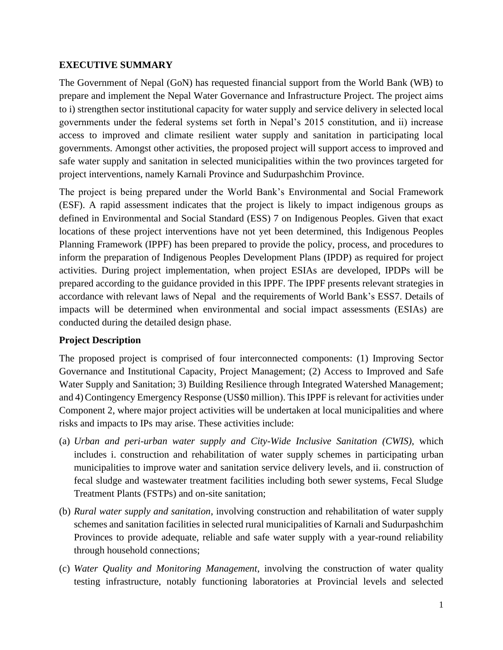#### <span id="page-3-0"></span>**EXECUTIVE SUMMARY**

The Government of Nepal (GoN) has requested financial support from the World Bank (WB) to prepare and implement the Nepal Water Governance and Infrastructure Project. The project aims to i) strengthen sector institutional capacity for water supply and service delivery in selected local governments under the federal systems set forth in Nepal's 2015 constitution, and ii) increase access to improved and climate resilient water supply and sanitation in participating local governments. Amongst other activities, the proposed project will support access to improved and safe water supply and sanitation in selected municipalities within the two provinces targeted for project interventions, namely Karnali Province and Sudurpashchim Province.

The project is being prepared under the World Bank's Environmental and Social Framework (ESF). A rapid assessment indicates that the project is likely to impact indigenous groups as defined in Environmental and Social Standard (ESS) 7 on Indigenous Peoples. Given that exact locations of these project interventions have not yet been determined, this Indigenous Peoples Planning Framework (IPPF) has been prepared to provide the policy, process, and procedures to inform the preparation of Indigenous Peoples Development Plans (IPDP) as required for project activities. During project implementation, when project ESIAs are developed, IPDPs will be prepared according to the guidance provided in this IPPF. The IPPF presents relevant strategies in accordance with relevant laws of Nepal and the requirements of World Bank's ESS7. Details of impacts will be determined when environmental and social impact assessments (ESIAs) are conducted during the detailed design phase.

#### **Project Description**

The proposed project is comprised of four interconnected components: (1) Improving Sector Governance and Institutional Capacity, Project Management; (2) Access to Improved and Safe Water Supply and Sanitation; 3) Building Resilience through Integrated Watershed Management; and 4)Contingency Emergency Response (US\$0 million). This IPPF is relevant for activities under Component 2, where major project activities will be undertaken at local municipalities and where risks and impacts to IPs may arise. These activities include:

- (a) *Urban and peri-urban water supply and City-Wide Inclusive Sanitation (CWIS)*, which includes i. construction and rehabilitation of water supply schemes in participating urban municipalities to improve water and sanitation service delivery levels, and ii. construction of fecal sludge and wastewater treatment facilities including both sewer systems, Fecal Sludge Treatment Plants (FSTPs) and on-site sanitation;
- (b) *Rural water supply and sanitation*, involving construction and rehabilitation of water supply schemes and sanitation facilities in selected rural municipalities of Karnali and Sudurpashchim Provinces to provide adequate, reliable and safe water supply with a year-round reliability through household connections;
- (c) *Water Quality and Monitoring Management*, involving the construction of water quality testing infrastructure, notably functioning laboratories at Provincial levels and selected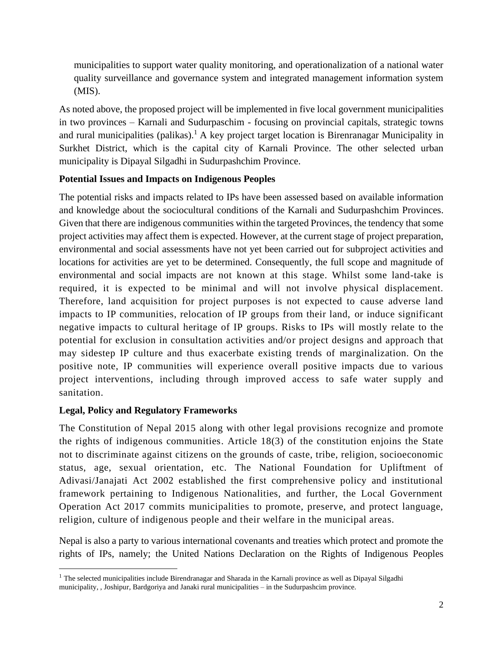municipalities to support water quality monitoring, and operationalization of a national water quality surveillance and governance system and integrated management information system (MIS).

As noted above, the proposed project will be implemented in five local government municipalities in two provinces – Karnali and Sudurpaschim - focusing on provincial capitals, strategic towns and rural municipalities (palikas).<sup>1</sup> A key project target location is Birenranagar Municipality in Surkhet District, which is the capital city of Karnali Province. The other selected urban municipality is Dipayal Silgadhi in Sudurpashchim Province.

#### **Potential Issues and Impacts on Indigenous Peoples**

The potential risks and impacts related to IPs have been assessed based on available information and knowledge about the sociocultural conditions of the Karnali and Sudurpashchim Provinces. Given that there are indigenous communities within the targeted Provinces, the tendency that some project activities may affect them is expected. However, at the current stage of project preparation, environmental and social assessments have not yet been carried out for subproject activities and locations for activities are yet to be determined. Consequently, the full scope and magnitude of environmental and social impacts are not known at this stage. Whilst some land-take is required, it is expected to be minimal and will not involve physical displacement. Therefore, land acquisition for project purposes is not expected to cause adverse land impacts to IP communities, relocation of IP groups from their land, or induce significant negative impacts to cultural heritage of IP groups. Risks to IPs will mostly relate to the potential for exclusion in consultation activities and/or project designs and approach that may sidestep IP culture and thus exacerbate existing trends of marginalization. On the positive note, IP communities will experience overall positive impacts due to various project interventions, including through improved access to safe water supply and sanitation.

#### **Legal, Policy and Regulatory Frameworks**

The Constitution of Nepal 2015 along with other legal provisions recognize and promote the rights of indigenous communities. Article 18(3) of the constitution enjoins the State not to discriminate against citizens on the grounds of caste, tribe, religion, socioeconomic status, age, sexual orientation, etc. The National Foundation for Upliftment of Adivasi/Janajati Act 2002 established the first comprehensive policy and institutional framework pertaining to Indigenous Nationalities, and further, the Local Government Operation Act 2017 commits municipalities to promote, preserve, and protect language, religion, culture of indigenous people and their welfare in the municipal areas.

Nepal is also a party to various international covenants and treaties which protect and promote the rights of IPs, namely; the United Nations Declaration on the Rights of Indigenous Peoples

<sup>&</sup>lt;sup>1</sup> The selected municipalities include Birendranagar and Sharada in the Karnali province as well as Dipayal Silgadhi municipality, , Joshipur, Bardgoriya and Janaki rural municipalities – in the Sudurpashcim province.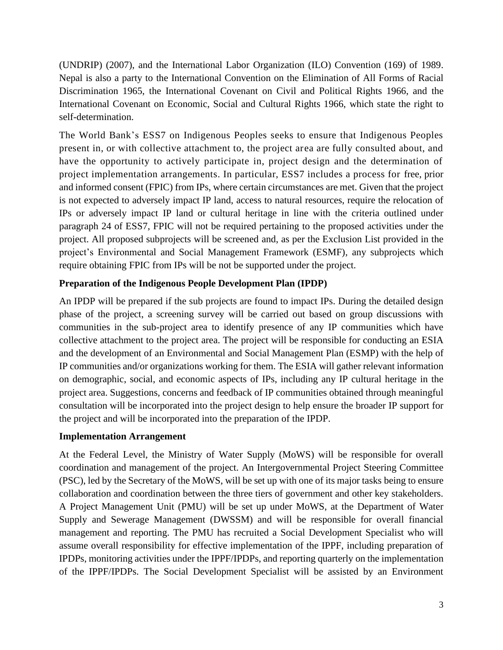(UNDRIP) (2007), and the International Labor Organization (ILO) Convention (169) of 1989. Nepal is also a party to the International Convention on the Elimination of All Forms of Racial Discrimination 1965, the International Covenant on Civil and Political Rights 1966, and the International Covenant on Economic, Social and Cultural Rights 1966, which state the right to self-determination.

The World Bank's ESS7 on Indigenous Peoples seeks to ensure that Indigenous Peoples present in, or with collective attachment to, the project area are fully consulted about, and have the opportunity to actively participate in, project design and the determination of project implementation arrangements. In particular, ESS7 includes a process for free, prior and informed consent (FPIC) from IPs, where certain circumstances are met. Given that the project is not expected to adversely impact IP land, access to natural resources, require the relocation of IPs or adversely impact IP land or cultural heritage in line with the criteria outlined under paragraph 24 of ESS7, FPIC will not be required pertaining to the proposed activities under the project. All proposed subprojects will be screened and, as per the Exclusion List provided in the project's Environmental and Social Management Framework (ESMF), any subprojects which require obtaining FPIC from IPs will be not be supported under the project.

#### **Preparation of the Indigenous People Development Plan (IPDP)**

An IPDP will be prepared if the sub projects are found to impact IPs. During the detailed design phase of the project, a screening survey will be carried out based on group discussions with communities in the sub-project area to identify presence of any IP communities which have collective attachment to the project area. The project will be responsible for conducting an ESIA and the development of an Environmental and Social Management Plan (ESMP) with the help of IP communities and/or organizations working for them. The ESIA will gather relevant information on demographic, social, and economic aspects of IPs, including any IP cultural heritage in the project area. Suggestions, concerns and feedback of IP communities obtained through meaningful consultation will be incorporated into the project design to help ensure the broader IP support for the project and will be incorporated into the preparation of the IPDP.

#### **Implementation Arrangement**

At the Federal Level, the Ministry of Water Supply (MoWS) will be responsible for overall coordination and management of the project. An Intergovernmental Project Steering Committee (PSC), led by the Secretary of the MoWS, will be set up with one of its major tasks being to ensure collaboration and coordination between the three tiers of government and other key stakeholders. A Project Management Unit (PMU) will be set up under MoWS, at the Department of Water Supply and Sewerage Management (DWSSM) and will be responsible for overall financial management and reporting. The PMU has recruited a Social Development Specialist who will assume overall responsibility for effective implementation of the IPPF, including preparation of IPDPs, monitoring activities under the IPPF/IPDPs, and reporting quarterly on the implementation of the IPPF/IPDPs. The Social Development Specialist will be assisted by an Environment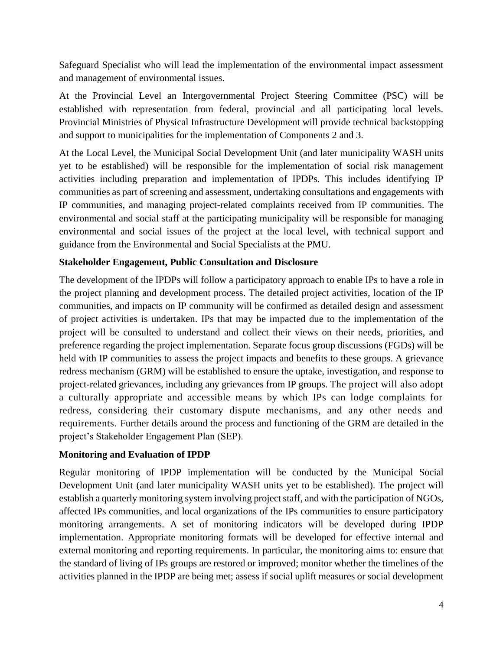Safeguard Specialist who will lead the implementation of the environmental impact assessment and management of environmental issues.

At the Provincial Level an Intergovernmental Project Steering Committee (PSC) will be established with representation from federal, provincial and all participating local levels. Provincial Ministries of Physical Infrastructure Development will provide technical backstopping and support to municipalities for the implementation of Components 2 and 3.

At the Local Level, the Municipal Social Development Unit (and later municipality WASH units yet to be established) will be responsible for the implementation of social risk management activities including preparation and implementation of IPDPs. This includes identifying IP communities as part of screening and assessment, undertaking consultations and engagements with IP communities, and managing project-related complaints received from IP communities. The environmental and social staff at the participating municipality will be responsible for managing environmental and social issues of the project at the local level, with technical support and guidance from the Environmental and Social Specialists at the PMU.

#### **Stakeholder Engagement, Public Consultation and Disclosure**

The development of the IPDPs will follow a participatory approach to enable IPs to have a role in the project planning and development process. The detailed project activities, location of the IP communities, and impacts on IP community will be confirmed as detailed design and assessment of project activities is undertaken. IPs that may be impacted due to the implementation of the project will be consulted to understand and collect their views on their needs, priorities, and preference regarding the project implementation. Separate focus group discussions (FGDs) will be held with IP communities to assess the project impacts and benefits to these groups. A grievance redress mechanism (GRM) will be established to ensure the uptake, investigation, and response to project-related grievances, including any grievances from IP groups. The project will also adopt a culturally appropriate and accessible means by which IPs can lodge complaints for redress, considering their customary dispute mechanisms, and any other needs and requirements. Further details around the process and functioning of the GRM are detailed in the project's Stakeholder Engagement Plan (SEP).

#### **Monitoring and Evaluation of IPDP**

Regular monitoring of IPDP implementation will be conducted by the Municipal Social Development Unit (and later municipality WASH units yet to be established). The project will establish a quarterly monitoring system involving project staff, and with the participation of NGOs, affected IPs communities, and local organizations of the IPs communities to ensure participatory monitoring arrangements. A set of monitoring indicators will be developed during IPDP implementation. Appropriate monitoring formats will be developed for effective internal and external monitoring and reporting requirements. In particular, the monitoring aims to: ensure that the standard of living of IPs groups are restored or improved; monitor whether the timelines of the activities planned in the IPDP are being met; assess if social uplift measures or social development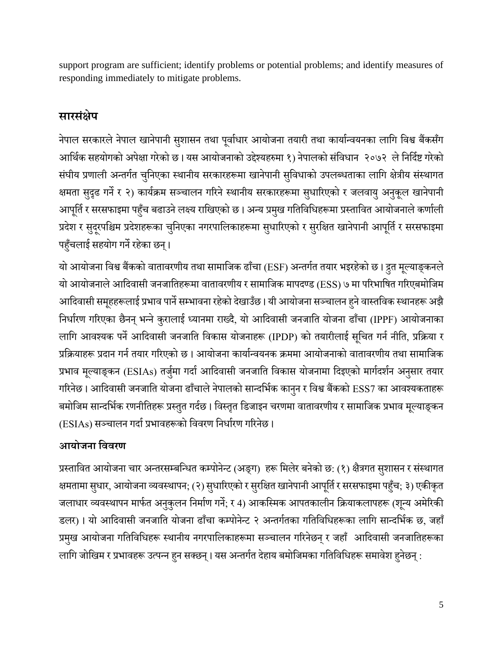support program are sufficient; identify problems or potential problems; and identify measures of responding immediately to mitigate problems.

# **सारसंक्षेप**

नेपाल सरकारले नेपाल खानेपानी सुशासन तथा पूर्वाधार आयोजना तयारी तथा कार्यान्वयनका लागि विश्व बैंकसँग आर्थिक सहयोगको अपेक्षा गरेको छ । यस आयोजनाको उद्देश्यहरुमा १) नेपालको संविधान २०७२ ले निर्दिष्ट गरेको संघीय प्रणाली अन्तर्गत चुनिएका स्थानीय सरकारहरूमा खानेपानी सुविधाको उपलब्धताका लागि क्षेत्रीय संस्थागत क्षमता सुदृढ गर्ने र २) कार्यक्रम सञ्चालन गरिने स्थानीय सरकारहरूमा सुधारिएको र जलवायु अनुकूूल खानेपानी आपूर्ति र सरसफाइमा पहुँच बढाउने लक्ष्य राखिएको छ । अन्य प्रमुख गतिविधिहरूमा प्रस्तावित आयोजनाले कर्णाली प्रदेश र सुदूरपश्चिम प्रदेशहरूका चुनिएका नगरपालिकाहरूमा सुधारिएको र सुरक्षित खानेपानी आपूर्ति र सरसफाइमा पहुँचलाई सहयोग गर्ने रहेका छन्।

यो आयोजना विश्व बैंकको वातावरणीय तथा सामाजिक ढाँचा (ESF) अन्तर्गत तयार भइरहेको छ । द्रुत मूल्याङ्कनले यो आयोजनाले आदिवासी जनजातिहरूमा वातावरणीय र सामाजिक मापदण्ड (ESS) ७ मा परिभाषित गरिएबमोजिम आदिवासी समूहहरूलाई प्रभाव पार्ने सम्भावना रहेको देखाउँछ। यी आयोजना सञ्चालन हुने वास्तविक स्थानहरू अझै निर्धारण गरिएका छैनन् भन्ने कुरालाई ध्यानमा राख्दै, यो आदिवासी जनजाति योजना ढाँचा (IPPF) आयोजनाका लागि आवश्यक पर्ने आदिवासी जनजाति विकास योजनाहरू (IPDP) को तयारीलाई सूचित गर्न नीति, प्रक्रिया र प्रक्रियाहरू प्रदान गर्न तयार गरिएको छ । आयोजना कार्यान्वयनक क्रममा आयोजनाको वातावरणीय तथा सामाजिक प्रभाव मूल्याङ्कन (ESIAs) तर्जुमा गर्दा आदिवासी जनजाति विकास योजनामा दिइएको मार्गदर्शन अनुसार तयार गरिनेछ। आदिवासी जनजाति योजना ढाँचाले नेपालको सान्दर्भिक कानुन र विश्व बैंकको ESS7 का आवश्यकताहरू बमोजिम सान्दर्भिक रणनीतिहरू प्रस्तुत गर्दछ। विस्तृत डिजाइन चरणमा वातावरणीय र सामाजिक प्रभाव मुल्याङ्कन (ESIAs) सञ्चालन गर्दा प्रभावहरूको विवरण निर्धारण गरिनेछ ।

# **आयोजना वििरण**

प्रस्तावित आयोजना चार अन्तरसम्बन्धित कम्पोनेन्ट (अङ्ग) हरू मिलेर बनेको छ: (१) क्षैत्रगत सुशासन र संस्थागत क्षमतामा सुधार, आयोजना व्यवस्थापन; (२) सुधारिएको र सुरक्षित खानेपानी आपूर्ति र सरसफाइमा पहुँच; ३) एकीकृत जलाधार व्यवस्थापन मार्फत अनुकुलन निर्माण गर्ने; र 4) आकस्मिक आपतकालीन क्रियाकलापहरू (शून्य अमेरिकी डलर)। यो आदिवासी जनजाति योजना ढाँचा कम्पोनेन्ट २ अन्तर्गतका गतिविधिहरूका लागि सान्दर्भिक छ, जहाँ प्रमुख आयोजना गतिविधिहरू स्थानीय नगरपालिकाहरूमा सञ्चालन गरिनेछन् र जहाँ आदिवासी जनजातिहरूका लागि जोखिम र प्रभावहरू उत्पन्न हुन सक्छन्। यस अन्तर्गत देहाय बमोजिमका गतिविधिहरू समावेश हुनेछन् :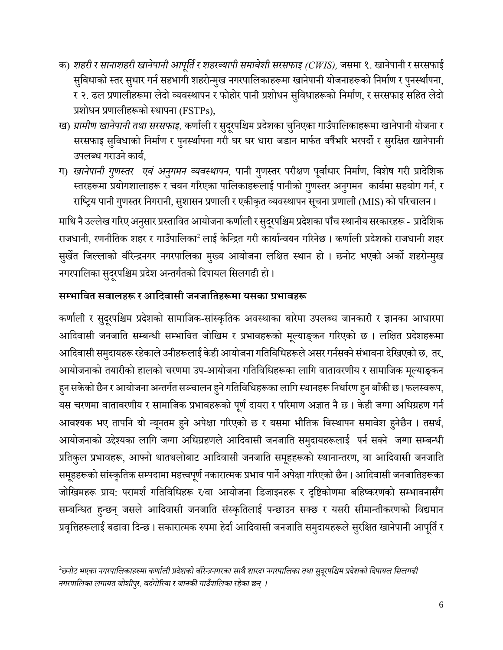- क) *शहरी र सानाशहरी खानेपानी आपर्ूतिर शहरव्यापी समावेशी सरसफाइ (CWIS),* जसमा १. खानेपानी र सरसफाई सुविधाको स्तर सुधार गर्न सहभागी शहरोन्मुख नगरपालिकाहरूमा खानेपानी योजनाहरूको निर्माण र पुनर्स्थापना, र २. ढल प्रणालीहरूमा लेदो व्यर्स्थापन र फोहोर पानी प्रशोधन सगुर्धाहरूको गनमााण, र सरसफाइ सगहत लेदो प्रशोधन प्रणालीहरूको स्थापना (FSTPs),
- ख) *ग्रामीण खानेपानी तथा सरसफाइ,* कर्णाली र सुदूरपश्चिम प्रदेशका चुनिएका गाउँपालिकाहरूमा खानेपानी योजना र सरसफाइ सुविधाको निर्माण र पुनर्स्थापना गरी घर घर धारा जडान मार्फत वर्षैभरि भरपर्दो र सुरक्षित खानेपानी उपलब्ध गराउने कार्य.
- ग) *खानेपानी गुणस्तर एवं अनुगमन व्यवस्थापन,* पानी गुणस्तर परीक्षण पूर्वाधार निर्माण, विशेष गरी प्रादेशिक स्तरहरूमा प्रयोगशालाहरू र चयन गरिएका पालिकाहरूलाई पानीको गुणस्तर अनुगमन कार्यमा सहयोग गर्न, र राष्ट्रिय पानी गुणस्तर निगरानी, सुशासन प्रणाली र एकीकृत व्यवस्थापन सूचना प्रणाली (MIS) को परिचालन ।

माथि नै उल्लेख गरिए अनुसार प्रस्तावित आयोजना कर्णाली र सुदूरपश्चिम प्रदेशका पाँच स्थानीय सरकारहरू - प्रादेशिक राजधानी, रणनीतिक शहर र गाउँपालिका<sup>2</sup> लाई केन्द्रित गरी कार्यान्वयन गरिनेछ । कर्णाली प्रदेशको राजधानी शहर सुर्खेत जिल्लाको वीरेन्द्रनगर नगरपालिका मुख्य आयोजना लक्षित स्थान हो । छनोट भएको अर्को शहरोन्मुख नगरपालिका सुदूरपश्चिम प्रदेश अन्तर्गतको दिपायल सिलगढी हो।

# सम्भावित सवालहरू र आदिवासी जनजातिहरूमा यसका प्रभावहरू

कर्णाली र सुदूरपश्चिम प्रदेशको सामाजिक-सांस्कृतिक अवस्थाका बारेमा उपलब्ध जानकारी र ज्ञानका आधारमा आदिवासी जनजाति सम्बन्धी सम्भावित जोखिम र प्रभावहरूको मूल्याङ्कन गरिएको छ । लक्षित प्रदेशहरूमा आदिवासी समुदायहरू रहेकाले उनीहरूलाई केही आयोजना गतिविधिहरूले असर गर्नसक्ने संभावना देखिएको छ, तर, आयोजनाको तयारीको हालको चरणमा उप-आयोजना गतिविधिहरूका लागि वातावरणीय र सामाजिक मूल्याङ्कन हुन सकेको छैन र आयोजना अन्तर्गत सञ्चालन हुने गतिविधिहरूका लागि स्थानहरू निर्धारण हुन बाँकी छ। फलस्वरूप, यस चरणमा वातावरणीय र सामाजिक प्रभावहरूको पूर्ण दायरा र परिमाण अज्ञात नै छ। केही जग्गा अधिग्रहण गर्न आवश्यक भए तापनि यो न्यूनतम हुने अपेक्षा गरिएको छ र यसमा भौतिक विस्थापन समावेश हुनेछैन । तसर्थ, आयोजनाको उद्देश्यका लागि जग्गा अधिग्रहणले आदिवासी जनजाति समुदायहरूलाई पर्न सक्ने जग्गा सम्बन्धी प्रतिकुल प्रभावहरू, आफ्नो थातथलोबाट आदिवासी जनजाति समूहहरूको स्थानान्तरण, वा आदिवासी जनजाति समूहहरूको सांस्कृतिक सम्पदामा महत्त्वपूर्ण नकारात्मक प्रभाव पार्ने अपेक्षा गरिएको छैन । आदिवासी जनजातिहरूका जोखिमहरू प्राय: परामर्श गतिविधिहरू र/वा आयोजना डिजाइनहरू र दृष्टिकोणमा बहिष्करणको सम्भावनासँग सम्बन्धित हुन्छन् जसले आदिवासी जनजाति संस्कृतिलाई पन्छाउन सक्छ र यसरी सीमान्तीकरणको विद्यमान प्रवृत्तिहरूलाई बढावा दिन्छ। सकारात्मक रुपमा हेर्दा आदिवासी जनजाति समुदायहरूले सुरक्षित खानेपानी आपूर्ति र

 $^{2}$ छनोट भएका नगरपालिकाहरुमा कर्णाली प्रदेशको वीरेन्द्रनगरका साथै शारदा नगरपालिका तथा सुदूरपश्चिम प्रदेशको दिपायल सिलगढी *नगरपार्िका िगायत जोशीपरु, बदगि ोररया र जानकी गाउँपार्िका रहेका छन् ।*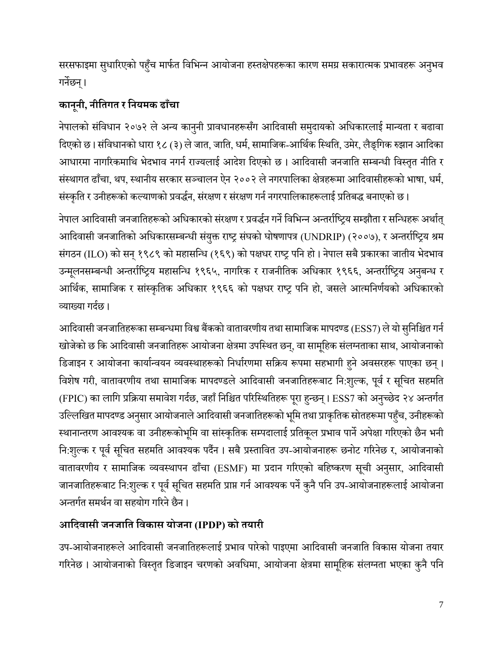सरसफाइमा सुधारिएको पहुँच मार्फत विभिन्न आयोजना हस्तक्षेपहरूका कारण समग्र सकारात्मक प्रभावहरू अनुभव िनेछन्।

# **कानूनी, नीवतगत र वनयमक ढााँचा**

नेपालको संविधान २०७२ ले अन्य कानुनी प्रावधानहरूसँग आदिवासी समुदायको अधिकारलाई मान्यता र बढावा गदएको छ । संगर्धानको धारा १८ (३) ले जात, जागत, धमा, सामागजक-आगथाक गस्थगत, उमेर, लैङ्गिक रुझान आगदका आधारमा नागरिकमाथि भेदभाव नगर्न राज्यलाई आदेश दिएको छ । आदिवासी जनजाति सम्बन्धी विस्तृत नीति र संस्थागत ढाँचा, थप, स्थानीय सरकार सञ्चालन ऐन २००२ ले नगरपालिका क्षेत्रहरूमा आदिवासीहरूको भाषा, धर्म, संस्कृति र उनीहरूको कल्याणको प्रवर्द्धन, संरक्षण र संरक्षण गर्न नगरपालिकाहरूलाई प्रतिबद्ध बनाएको छ ।

नेपाल आदिवासी जनजातिहरूको अधिकारको संरक्षण र प्रवर्द्धन गर्ने विभिन्न अन्तर्राष्ट्रिय सम्झौता र सन्धिहरू अर्थात् आदिवासी जनजातिको अधिकारसम्बन्धी संयुक्त राष्ट्र संघको घोषणापत्र (UNDRIP) (२००७), र अन्तर्राष्ट्रिय श्रम संगठन (ILO) को सन् १९८९ को महासन्धि (१६९) को पक्षधर राष्ट्र पनि हो। नेपाल सबै प्रकारका जातीय भेदभाव उन्मूलनसम्बन्धी अन्तर्राष्ट्रिय महासन्धि १९६५, नागरिक र राजनीतिक अधिकार १९६६, अन्तर्राष्ट्रिय अनुबन्ध र आर्थिक, सामाजिक र सांस्कृतिक अधिकार १९६६ को पक्षधर राष्ट्र पनि हो, जसले आत्मनिर्णयको अधिकारको व्याख्या गर्दछ ।

आदिवासी जनजातिहरूका सम्बन्धमा विश्व बैंकको वातावरणीय तथा सामाजिक मापदण्ड (ESS7) ले यो सुनिश्चित गर्न खोजेको छ कि आदिवासी जनजातिहरू आयोजना क्षेत्रमा उपस्थित छन्, वा सामूहिक संलग्नताका साथ, आयोजनाको डिजाइन र आयोजना कार्यान्वयन व्यवस्थाहरूको निर्धारणमा सक्रिय रूपमा सहभागी हुने अवसरहरू पाएका छन्। विशेष गरी, वातावरणीय तथा सामाजिक मापदण्डले आदिवासी जनजातिहरूबाट नि:शुल्क, पूर्व र सूचित सहमति (FPIC) का लागि प्रक्रिया समावेश गर्दछ, जहाँ निश्चित परिस्थितिहरू पूरा हुन्छन्। ESS7 को अनुच्छेद २४ अन्तर्गत उल्लिखित मापदण्ड अनुसार आयोजनाले आदिवासी जनजातिहरूको भूमि तथा प्राकृतिक स्रोतहरूमा पहुँच, उनीहरूको स्थानान्तरण आवश्यक वा उनीहरूकोभूमि वा सांस्कृतिक सम्पदालाई प्रतिकूल प्रभाव पार्ने अपेक्षा गरिएको छैन भनी नि:शुल्क र पूर्व सूचित सहमति आवश्यक पर्दैन । सबै प्रस्तावित उप-आयोजनाहरू छनोट गरिनेछ र, आयोजनाको वातावरणीय र सामाजिक व्यवस्थापन ढाँचा (ESMF) मा प्रदान गरिएको बहिष्करण सूची अनुसार, आदिवासी जानजातिहरूबाट नि:शुल्क र पूर्व सूचित सहमति प्राप्त गर्न आवश्यक पर्ने कुनै पनि उप-आयोजनाहरूलाई आयोजना अन्तर्गत समर्थन वा सहयोग गरिने छैन ।

# **आवििासी जनजावत विकास योजना (IPDP) को तयारी**

उप-आयोजनाहरूले आदिवासी जनजातिहरूलाई प्रभाव पारेको पाइएमा आदिवासी जनजाति विकास योजना तयार गरिनेछ । आयोजनाको विस्तृत डिजाइन चरणको अवधिमा, आयोजना क्षेत्रमा सामूहिक संलग्नता भएका कुनै पनि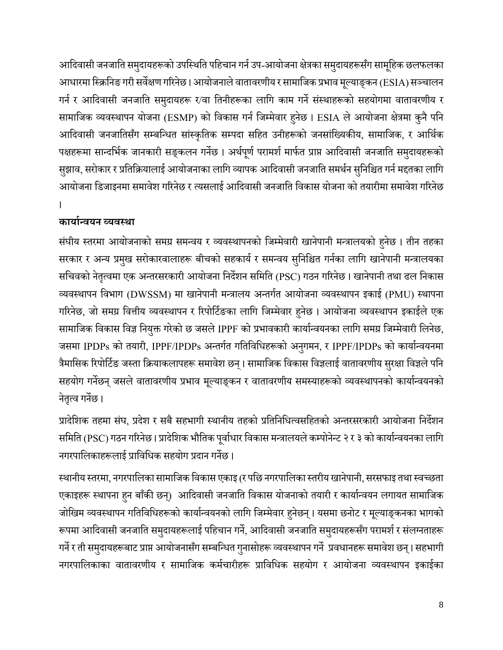आदिवासी जनजाति समुदायहरूको उपस्थिति पहिचान गर्न उप-आयोजना क्षेत्रका समुदायहरूसँग सामूहिक छलफलका आधारमा स्क्रिनिङ गरी सर्वेक्षण गरिनेछ । आयोजनाले वातावरणीय र सामाजिक प्रभाव मूल्याङ्कन (ESIA) सञ्चालन गर्न र आदिवासी जनजाति समुदायहरू र/वा तिनीहरूका लागि काम गर्ने संस्थाहरूको सहयोगमा वातावरणीय र सामाजिक व्यवस्थापन योजना (ESMP) को विकास गर्न जिम्मेवार हुनेछ । ESIA ले आयोजना क्षेत्रमा कुनै पनि आदिवासी जनजातिसँग सम्बन्धित सांस्कृतिक सम्पदा सहित उनीहरूको जनसांख्यिकीय, सामाजिक, र आर्थिक पक्षहरूमा सान्दर्भिक जानकारी सङ्कलन गर्नेछ । अर्थपूर्ण परामर्श मार्फत प्राप्त आदिवासी जनजाति समुदायहरूको सुझाव, सरोकार र प्रतिक्रियालाई आयोजनाका लागि व्यापक आदिवासी जनजाति समर्थन सुनिश्चित गर्न मद्दतका लागि आयोजना डिजाइनमा समावेश गरिनेछ र त्यसलाई आदिवासी जनजाति विकास योजना को तयारीमा समावेश गरिनेछ ।

# **कायाान्ियन व्यिस्था**

संघीय स्तरमा आयोजनाको समग्र समन्वय र व्यवस्थापनको जिम्मेवारी खानेपानी मन्त्रालयको हुनेछ। तीन तहका सरकार र अन्य प्रमुख सरोकारवालाहरू बीचको सहकार्य र समन्वय सुनिश्चित गर्नका लागि खानेपानी मन्त्रालयका सचिवको नेतृत्वमा एक अन्तरसरकारी आयोजना निर्देशन समिति (PSC) गठन गरिनेछ। खानेपानी तथा ढल निकास व्यर्स्थापन गर्भाि (DWSSM) मा खानेपानी मन्त्रालय अन्तिात आयोजना व्यर्स्थापन इकाई (PMU) स्थापना गरिनेछ, जो समग्र वित्तीय व्यवस्थापन र रिपोर्टिङका लागि जिम्मेवार हुनेछ । आयोजना व्यवस्थापन इकाईले एक सामाजिक विकास विज्ञ नियुक्त गरेको छ जसले IPPF को प्रभावकारी कार्यान्वयनका लागि समग्र जिम्मेवारी लिनेछ, जसमा IPDPs को तयारी, IPPF/IPDPs अन्तर्गत गतिविधिहरूको अनुगमन, र IPPF/IPDPs को कार्यान्वयनमा त्रैमासिक रिपोर्टिङ जस्ता क्रियाकलापहरू समावेश छन्। सामाजिक विकास विज्ञलाई वातावरणीय सुरक्षा विज्ञले पनि सहयोग गर्नेछन् जसले वातावरणीय प्रभाव मूल्याङ्कन र वातावरणीय समस्याहरूको व्यवस्थापनको कार्यान्वयनको नेतृत्व गर्नेछ।

प्रादेशिक तहमा संघ, प्रदेश र सबै सहभागी स्थानीय तहको प्रतिनिधित्वसहितको अन्तरसरकारी आयोजना निर्देशन समिति (PSC) गठन गरिनेछ । प्रादेशिक भौतिक पूर्वाधार विकास मन्त्रालयले कम्पोनेन्ट २ र ३ को कार्यान्वयनका लागि नगरपालिकाहरूलाई प्राविधिक सहयोग प्रदान गर्नेछ ।

स्थानीय स्तरमा, नगरपालिका सामाजिक विकास एकाइ (र पछि नगरपालिका स्तरीय खानेपानी, सरसफाइ तथा स्वच्छता एकाइहरू स्थापना हुन बाँकी छन्) आदिवासी जनजाति विकास योजनाको तयारी र कार्यान्वयन लगायत सामाजिक जोखिम व्यवस्थापन गतिविधिहरूको कार्यान्वयनको लागि जिम्मेवार हुनेछन्। यसमा छनोट र मूल्याङ्कनका भागको रूपमा आदिवासी जनजाति समुदायहरूलाई पहिचान गर्ने, आदिवासी जनजाति समुदायहरूसँग परामर्श र संलग्नताहरू गर्ने र ती समुदायहरूबाट प्राप्त आयोजनासँग सम्बन्धित गुनासोहरू व्यवस्थापन गर्ने प्रवधानहरू समावेश छन्। सहभागी नगरपालिकाका वातावरणीय र सामाजिक कर्मचारीहरू प्राविधिक सहयोग र आयोजना व्यवस्थापन इकाईका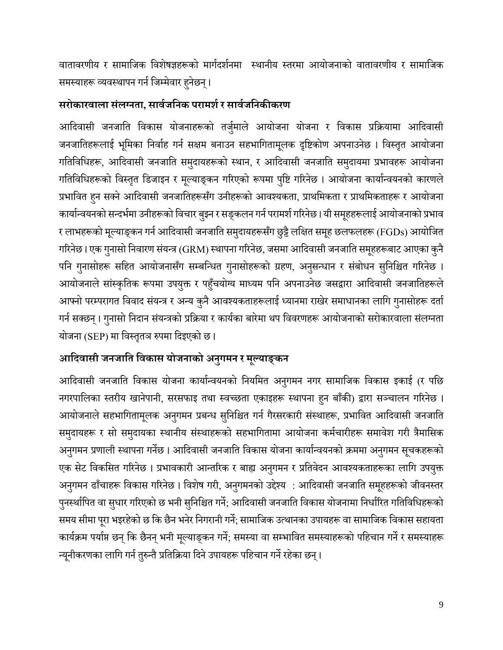वातावरणीय र सामाजिक विशेषज्ञहरूको मार्गदर्शनमा स्थानीय स्तरमा आयोजनाको वातावरणीय र सामाजिक समस्याहरू व्यवस्थापन गर्न जिम्मेवार हनेछन्।

# **सरोकारिाला संलग्नता, सािाजवनक परामर्ा र सािाजवनकीकरण**

आदिवासी जनजाति विकास योजनाहरूको तर्जुमाले आयोजना योजना र विकास प्रक्रियामा आदिवासी जनजातिहरूलाई भूमिका निर्वाह गर्न सक्षम बनाउन सहभागितामूलक दृष्टिकोण अपनाउनेछ । विस्तृत आयोजना गतिविधिहरू, आदिवासी जनजाति समुदायहरूको स्थान, र आदिवासी जनजाति समुदायमा प्रभावहरू आयोजना गतिविधिहरूको विस्तृत डिजाइन र मूल्याङ्कन गरिएको रूपमा पुष्टि गरिनेछ । आयोजना कार्यान्वयनको कारणले प्रभावित हुन सक्ने आदिवासी जनजातिहरूसँग उनीहरूको आवश्यकता, प्राथमिकता र प्राथमिकताहरू र आयोजना कार्यान्वयनको सन्दर्भमा उनीहरूको विचार बुझ्न र सङ्कलन गर्न परामर्श गरिनेछ । यी समूहहरूलाई आयोजनाको प्रभाव र लाभहरूको मूल्याङ्कन गर्न आदिवासी जनजाति समुदायहरूसँग छुट्टै लक्षित समूह छलफलहरू (FGDs) आयोजित गरिनेछ। एक गुनासो निवारण संयन्त्र (GRM) स्थापना गरिनेछ, जसमा आदिवासी जनजाति समूहहरूबाट आएका कुनै पनि गुनासोहरू सहित आयोजनासँग सम्बन्धित गुनासोहरूको ग्रहण, अनुसन्धान र संबोधन सुनिश्चित गरिनेछ । आयोजनाले सांस्कृतिक रूपमा उपयुक्त र पहुँचयोग्य माध्यम पनि अपनाउनेछ जसद्वारा आदिवासी जनजातिहरूले आफ्नो परम्परागत विवाद संयन्त्र र अन्य कुनै आवश्यकताहरूलाई ध्यानमा राखेर समाधानका लागि गुनासोहरू दर्ता गर्न सक्छन्। गुनासो निदान संयन्त्रको प्रक्रिया र कार्यका बारेमा थप विवरणहरू आयोजनाको सरोकारवाला संलग्नता योजना (SEP) मा विस्तृतञ रुपमा दिइएको छ।

# **आवििासी जनजावत विकास योजनाको अनुगमन र मल्ूयाङ्कन**

आदिवासी जनजाति विकास योजना कार्यान्वयनको नियमित अनुगमन नगर सामाजिक विकास इकाई (र पछि नगरपालिका स्तरीय खानेपानी, सरसफाइ तथा स्वच्छता एकाइहरू स्थापना हुन बाँकी) द्वारा सञ्चालन गरिनेछ । आयोजनाले सहभागितामूलक अनुगमन प्रबन्ध सुनिश्चित गर्न गैरसरकारी संस्थाहरू, प्रभावित आदिवासी जनजाति समुदायहरू र सो समुदायका स्थानीय संस्थाहरूको सहभागितामा आयोजना कर्मचारीहरू समावेश गरी त्रैमासिक अनुगमन प्रणाली स्थापना गर्नेछ । आदिवासी जनजाति विकास योजना कार्यान्वयनको क्रममा अनुगमन सूचकहरूको एक सेट विकसित गरिनेछ । प्रभावकारी आन्तरिक र बाह्य अनुगमन र प्रतिवेदन आवश्यकताहरूका लागि उपयुक्त अनुगमन ढाँचाहरू विकास गरिनेछ । विशेष गरी, अनुगमनको उद्देश्य : आदिवासी जनजाति समूहहरूको जीवनस्तर पुनर्स्थापित वा सुधार गरिएको छ भनी सुनिश्चित गर्ने; आदिवासी जनजाति विकास योजनामा निर्धारित गतिविधिहरूको समय सीमा पूरा भइरहेको छ कि छैन भनेर निगरानी गर्ने; सामाजिक उत्थानका उपायहरू वा सामाजिक विकास सहायता कार्यक्रम पर्याप्त छन् कि छैनन् भनी मूल्याङ्कन गर्ने; समस्या वा सम्भावित समस्याहरूको पहिचान गर्ने र समस्याहरू न्यूनीकरणका लागि गर्न तुरुन्तै प्रतिक्रिया दिने उपायहरू पहिचान गर्ने रहेका छन्।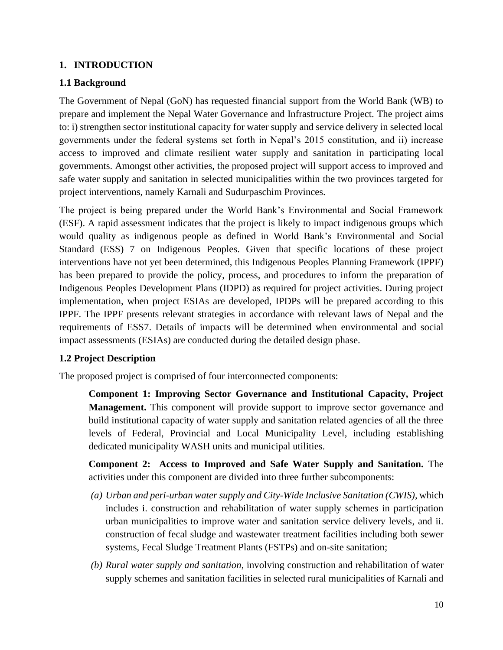#### <span id="page-12-0"></span>**1. INTRODUCTION**

#### <span id="page-12-1"></span>**1.1 Background**

The Government of Nepal (GoN) has requested financial support from the World Bank (WB) to prepare and implement the Nepal Water Governance and Infrastructure Project. The project aims to: i) strengthen sector institutional capacity for water supply and service delivery in selected local governments under the federal systems set forth in Nepal's 2015 constitution, and ii) increase access to improved and climate resilient water supply and sanitation in participating local governments. Amongst other activities, the proposed project will support access to improved and safe water supply and sanitation in selected municipalities within the two provinces targeted for project interventions, namely Karnali and Sudurpaschim Provinces.

The project is being prepared under the World Bank's Environmental and Social Framework (ESF). A rapid assessment indicates that the project is likely to impact indigenous groups which would quality as indigenous people as defined in World Bank's Environmental and Social Standard (ESS) 7 on Indigenous Peoples. Given that specific locations of these project interventions have not yet been determined, this Indigenous Peoples Planning Framework (IPPF) has been prepared to provide the policy, process, and procedures to inform the preparation of Indigenous Peoples Development Plans (IDPD) as required for project activities. During project implementation, when project ESIAs are developed, IPDPs will be prepared according to this IPPF. The IPPF presents relevant strategies in accordance with relevant laws of Nepal and the requirements of ESS7. Details of impacts will be determined when environmental and social impact assessments (ESIAs) are conducted during the detailed design phase.

#### <span id="page-12-2"></span>**1.2 Project Description**

The proposed project is comprised of four interconnected components:

**Component 1: Improving Sector Governance and Institutional Capacity, Project Management.** This component will provide support to improve sector governance and build institutional capacity of water supply and sanitation related agencies of all the three levels of Federal, Provincial and Local Municipality Level, including establishing dedicated municipality WASH units and municipal utilities.

**Component 2: Access to Improved and Safe Water Supply and Sanitation.** The activities under this component are divided into three further subcomponents:

- *(a) Urban and peri-urban water supply and City-Wide Inclusive Sanitation (CWIS)*, which includes i. construction and rehabilitation of water supply schemes in participation urban municipalities to improve water and sanitation service delivery levels, and ii. construction of fecal sludge and wastewater treatment facilities including both sewer systems, Fecal Sludge Treatment Plants (FSTPs) and on-site sanitation;
- *(b) Rural water supply and sanitation*, involving construction and rehabilitation of water supply schemes and sanitation facilities in selected rural municipalities of Karnali and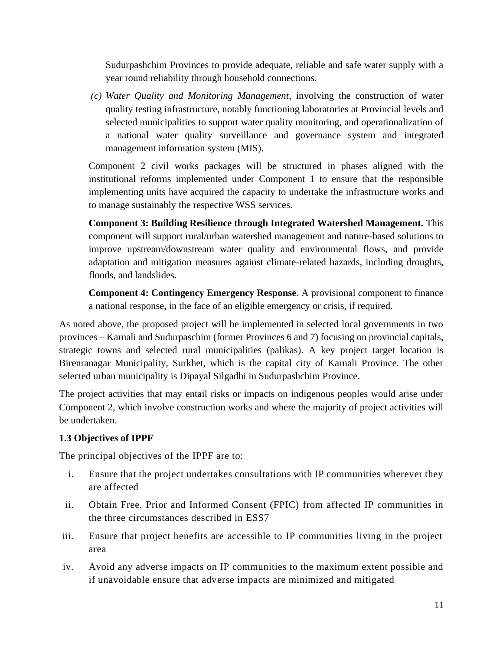Sudurpashchim Provinces to provide adequate, reliable and safe water supply with a year round reliability through household connections.

*(c) Water Quality and Monitoring Management*, involving the construction of water quality testing infrastructure, notably functioning laboratories at Provincial levels and selected municipalities to support water quality monitoring, and operationalization of a national water quality surveillance and governance system and integrated management information system (MIS).

Component 2 civil works packages will be structured in phases aligned with the institutional reforms implemented under Component 1 to ensure that the responsible implementing units have acquired the capacity to undertake the infrastructure works and to manage sustainably the respective WSS services.

**Component 3: Building Resilience through Integrated Watershed Management.** This component will support rural/urban watershed management and nature-based solutions to improve upstream/downstream water quality and environmental flows, and provide adaptation and mitigation measures against climate-related hazards, including droughts, floods, and landslides.

**Component 4: Contingency Emergency Response**. A provisional component to finance a national response, in the face of an eligible emergency or crisis, if required.

As noted above, the proposed project will be implemented in selected local governments in two provinces – Karnali and Sudurpaschim (former Provinces 6 and 7) focusing on provincial capitals, strategic towns and selected rural municipalities (palikas). A key project target location is Birenranagar Municipality, Surkhet, which is the capital city of Karnali Province. The other selected urban municipality is Dipayal Silgadhi in Sudurpashchim Province.

The project activities that may entail risks or impacts on indigenous peoples would arise under Component 2, which involve construction works and where the majority of project activities will be undertaken.

### <span id="page-13-0"></span>**1.3 Objectives of IPPF**

The principal objectives of the IPPF are to:

- i. Ensure that the project undertakes consultations with IP communities wherever they are affected
- ii. Obtain Free, Prior and Informed Consent (FPIC) from affected IP communities in the three circumstances described in ESS7
- iii. Ensure that project benefits are accessible to IP communities living in the project area
- iv. Avoid any adverse impacts on IP communities to the maximum extent possible and if unavoidable ensure that adverse impacts are minimized and mitigated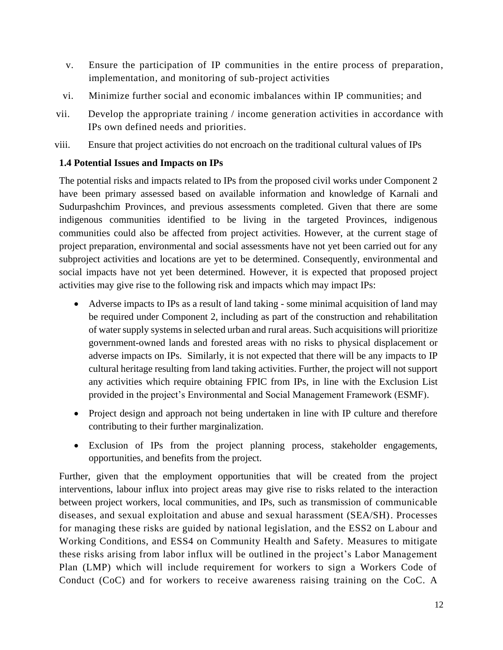- v. Ensure the participation of IP communities in the entire process of preparation, implementation, and monitoring of sub-project activities
- vi. Minimize further social and economic imbalances within IP communities; and
- vii. Develop the appropriate training / income generation activities in accordance with IPs own defined needs and priorities.
- viii. Ensure that project activities do not encroach on the traditional cultural values of IPs

#### <span id="page-14-0"></span>**1.4 Potential Issues and Impacts on IPs**

The potential risks and impacts related to IPs from the proposed civil works under Component 2 have been primary assessed based on available information and knowledge of Karnali and Sudurpashchim Provinces, and previous assessments completed. Given that there are some indigenous communities identified to be living in the targeted Provinces, indigenous communities could also be affected from project activities. However, at the current stage of project preparation, environmental and social assessments have not yet been carried out for any subproject activities and locations are yet to be determined. Consequently, environmental and social impacts have not yet been determined. However, it is expected that proposed project activities may give rise to the following risk and impacts which may impact IPs:

- Adverse impacts to IPs as a result of land taking some minimal acquisition of land may be required under Component 2, including as part of the construction and rehabilitation of water supply systems in selected urban and rural areas. Such acquisitions will prioritize government-owned lands and forested areas with no risks to physical displacement or adverse impacts on IPs. Similarly, it is not expected that there will be any impacts to IP cultural heritage resulting from land taking activities. Further, the project will not support any activities which require obtaining FPIC from IPs, in line with the Exclusion List provided in the project's Environmental and Social Management Framework (ESMF).
- Project design and approach not being undertaken in line with IP culture and therefore contributing to their further marginalization.
- Exclusion of IPs from the project planning process, stakeholder engagements, opportunities, and benefits from the project.

Further, given that the employment opportunities that will be created from the project interventions, labour influx into project areas may give rise to risks related to the interaction between project workers, local communities, and IPs, such as transmission of communicable diseases, and sexual exploitation and abuse and sexual harassment (SEA/SH). Processes for managing these risks are guided by national legislation, and the ESS2 on Labour and Working Conditions, and ESS4 on Community Health and Safety. Measures to mitigate these risks arising from labor influx will be outlined in the project's Labor Management Plan (LMP) which will include requirement for workers to sign a Workers Code of Conduct (CoC) and for workers to receive awareness raising training on the CoC. A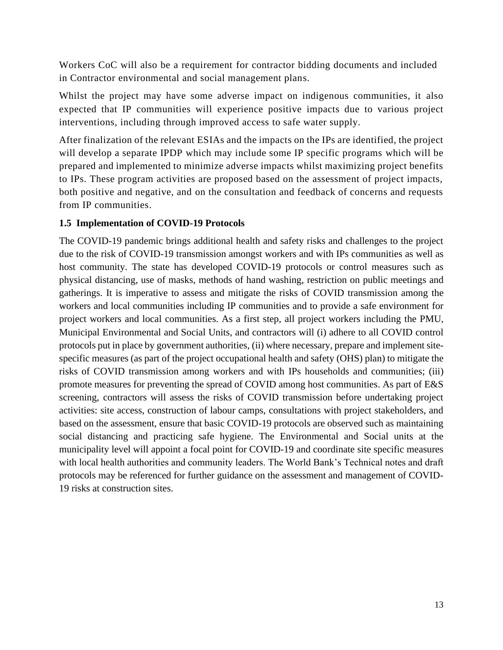Workers CoC will also be a requirement for contractor bidding documents and included in Contractor environmental and social management plans.

Whilst the project may have some adverse impact on indigenous communities, it also expected that IP communities will experience positive impacts due to various project interventions, including through improved access to safe water supply.

After finalization of the relevant ESIAs and the impacts on the IPs are identified, the project will develop a separate IPDP which may include some IP specific programs which will be prepared and implemented to minimize adverse impacts whilst maximizing project benefits to IPs. These program activities are proposed based on the assessment of project impacts, both positive and negative, and on the consultation and feedback of concerns and requests from IP communities.

#### <span id="page-15-0"></span>**1.5 Implementation of COVID-19 Protocols**

The COVID-19 pandemic brings additional health and safety risks and challenges to the project due to the risk of COVID-19 transmission amongst workers and with IPs communities as well as host community. The state has developed COVID-19 protocols or control measures such as physical distancing, use of masks, methods of hand washing, restriction on public meetings and gatherings. It is imperative to assess and mitigate the risks of COVID transmission among the workers and local communities including IP communities and to provide a safe environment for project workers and local communities. As a first step, all project workers including the PMU, Municipal Environmental and Social Units, and contractors will (i) adhere to all COVID control protocols put in place by government authorities, (ii) where necessary, prepare and implement sitespecific measures (as part of the project occupational health and safety (OHS) plan) to mitigate the risks of COVID transmission among workers and with IPs households and communities; (iii) promote measures for preventing the spread of COVID among host communities. As part of E&S screening, contractors will assess the risks of COVID transmission before undertaking project activities: site access, construction of labour camps, consultations with project stakeholders, and based on the assessment, ensure that basic COVID-19 protocols are observed such as maintaining social distancing and practicing safe hygiene. The Environmental and Social units at the municipality level will appoint a focal point for COVID-19 and coordinate site specific measures with local health authorities and community leaders. The World Bank's Technical notes and draft protocols may be referenced for further guidance on the assessment and management of COVID-19 risks at construction sites.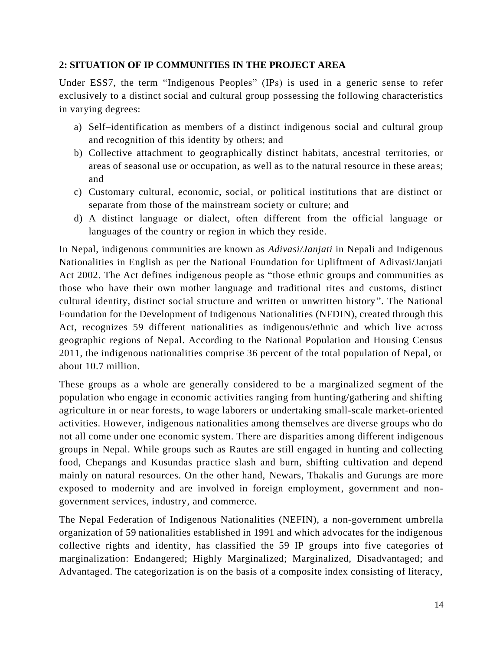#### <span id="page-16-0"></span>**2: SITUATION OF IP COMMUNITIES IN THE PROJECT AREA**

Under ESS7, the term "Indigenous Peoples" (IPs) is used in a generic sense to refer exclusively to a distinct social and cultural group possessing the following characteristics in varying degrees:

- a) Self–identification as members of a distinct indigenous social and cultural group and recognition of this identity by others; and
- b) Collective attachment to geographically distinct habitats, ancestral territories, or areas of seasonal use or occupation, as well as to the natural resource in these areas; and
- c) Customary cultural, economic, social, or political institutions that are distinct or separate from those of the mainstream society or culture; and
- d) A distinct language or dialect, often different from the official language or languages of the country or region in which they reside.

In Nepal, indigenous communities are known as *Adivasi/Janjati* in Nepali and Indigenous Nationalities in English as per the National Foundation for Upliftment of Adivasi/Janjati Act 2002. The Act defines indigenous people as "those ethnic groups and communities as those who have their own mother language and traditional rites and customs, distinct cultural identity, distinct social structure and written or unwritten history". The National Foundation for the Development of Indigenous Nationalities (NFDIN), created through this Act, recognizes 59 different nationalities as indigenous/ethnic and which live across geographic regions of Nepal. According to the National Population and Housing Census 2011, the indigenous nationalities comprise 36 percent of the total population of Nepal, or about 10.7 million.

These groups as a whole are generally considered to be a marginalized segment of the population who engage in economic activities ranging from hunting/gathering and shifting agriculture in or near forests, to wage laborers or undertaking small-scale market-oriented activities. However, indigenous nationalities among themselves are diverse groups who do not all come under one economic system. There are disparities among different indigenous groups in Nepal. While groups such as Rautes are still engaged in hunting and collecting food, Chepangs and Kusundas practice slash and burn, shifting cultivation and depend mainly on natural resources. On the other hand, Newars, Thakalis and Gurungs are more exposed to modernity and are involved in foreign employment, government and nongovernment services, industry, and commerce.

The Nepal Federation of Indigenous Nationalities (NEFIN), a non-government umbrella organization of 59 nationalities established in 1991 and which advocates for the indigenous collective rights and identity, has classified the 59 IP groups into five categories of marginalization: Endangered; Highly Marginalized; Marginalized, Disadvantaged; and Advantaged. The categorization is on the basis of a composite index consisting of literacy,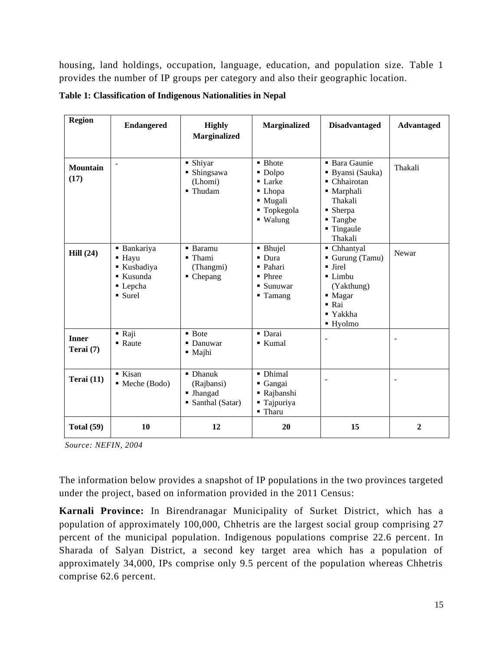housing, land holdings, occupation, language, education, and population size. [Table 1](#page-17-0) provides the number of IP groups per category and also their geographic location.

| <b>Region</b>             | <b>Endangered</b>                                                                   | <b>Highly</b><br><b>Marginalized</b>                                    | <b>Marginalized</b>                                                                          | <b>Disadvantaged</b>                                                                                                                                             | <b>Advantaged</b> |
|---------------------------|-------------------------------------------------------------------------------------|-------------------------------------------------------------------------|----------------------------------------------------------------------------------------------|------------------------------------------------------------------------------------------------------------------------------------------------------------------|-------------------|
| <b>Mountain</b><br>(17)   | $\overline{\phantom{0}}$                                                            | • Shiyar<br>• Shingsawa<br>(Lhomi)<br>■ Thudam                          | • Bhote<br>· Dolpo<br>$\blacksquare$ Larke<br>• Lhopa<br>· Mugali<br>■ Topkegola<br>■ Walung | <b>Bara Gaunie</b><br>Byansi (Sauka)<br>• Chhairotan<br>• Marphali<br>Thakali<br>$\blacksquare$ Sherpa<br>■ Tangbe<br>■ Tingaule<br>Thakali                      | Thakali           |
| Hill(24)                  | ■ Bankariya<br>$\blacksquare$ Hayu<br>Kusbadiya<br>■ Kusunda<br>• Lepcha<br>• Surel | • Baramu<br>$\blacksquare$ Thami<br>(Thangmi)<br>$\blacksquare$ Chepang | • Bhujel<br>$\blacksquare$ Dura<br>• Pahari<br>• Phree<br>■ Sunuwar<br>$\blacksquare$ Tamang | • Chhantyal<br>Gurung (Tamu)<br>• Jirel<br>$\blacksquare$ Limbu<br>(Yakthung)<br>• Magar<br>$\blacksquare$ Rai<br>$\blacksquare$ Yakkha<br>$\blacksquare$ Hyolmo | Newar             |
| <b>Inner</b><br>Terai (7) | $\blacksquare$ Raji<br>• Raute                                                      | $\blacksquare$ Bote<br>• Danuwar<br>$\blacksquare$ Majhi                | · Darai<br>■ Kumal                                                                           | $\overline{a}$                                                                                                                                                   | $\blacksquare$    |
| Terai (11)                | $\blacksquare$ Kisan<br>• Meche (Bodo)                                              | $\blacksquare$ Dhanuk<br>(Rajbansi)<br>• Jhangad<br>• Santhal (Satar)   | · Dhimal<br>■ Gangai<br>Rajbanshi<br>Tajpuriya<br>$\blacksquare$ Tharu                       |                                                                                                                                                                  |                   |
| <b>Total (59)</b>         | 10                                                                                  | 12                                                                      | 20                                                                                           | 15                                                                                                                                                               | $\overline{2}$    |

<span id="page-17-0"></span>**Table 1: Classification of Indigenous Nationalities in Nepal**

*Source: NEFIN, 2004*

The information below provides a snapshot of IP populations in the two provinces targeted under the project, based on information provided in the 2011 Census:

**Karnali Province:** In Birendranagar Municipality of Surket District, which has a population of approximately 100,000, Chhetris are the largest social group comprising 27 percent of the municipal population. Indigenous populations comprise 22.6 percent. In Sharada of Salyan District, a second key target area which has a population of approximately 34,000, IPs comprise only 9.5 percent of the population whereas Chhetris comprise 62.6 percent.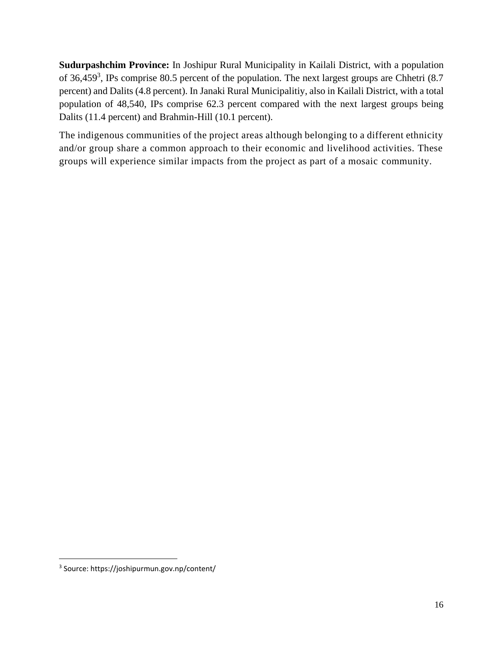**Sudurpashchim Province:** In Joshipur Rural Municipality in Kailali District, with a population of 36,459<sup>3</sup>, IPs comprise 80.5 percent of the population. The next largest groups are Chhetri (8.7) percent) and Dalits (4.8 percent). In Janaki Rural Municipalitiy, also in Kailali District, with a total population of 48,540, IPs comprise 62.3 percent compared with the next largest groups being Dalits (11.4 percent) and Brahmin-Hill (10.1 percent).

The indigenous communities of the project areas although belonging to a different ethnicity and/or group share a common approach to their economic and livelihood activities. These groups will experience similar impacts from the project as part of a mosaic community.

<sup>3</sup> Source: https://joshipurmun.gov.np/content/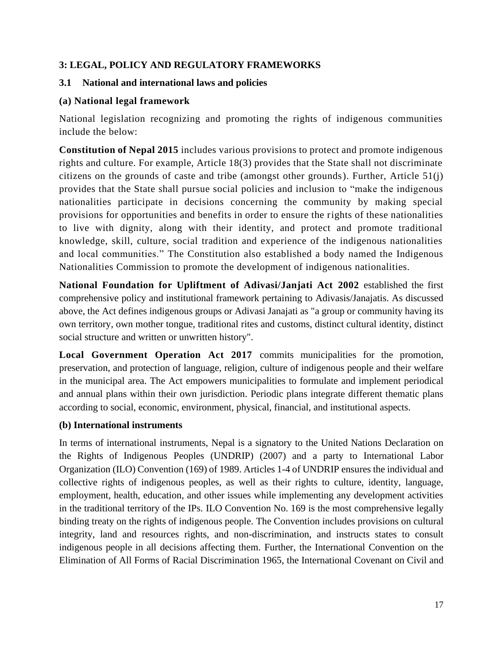#### <span id="page-19-0"></span>**3: LEGAL, POLICY AND REGULATORY FRAMEWORKS**

#### <span id="page-19-1"></span>**3.1 National and international laws and policies**

#### **(a) National legal framework**

National legislation recognizing and promoting the rights of indigenous communities include the below:

**Constitution of Nepal 2015** includes various provisions to protect and promote indigenous rights and culture. For example, Article 18(3) provides that the State shall not discriminate citizens on the grounds of caste and tribe (amongst other grounds). Further, Article 51(j) provides that the State shall pursue social policies and inclusion to "make the indigenous nationalities participate in decisions concerning the community by making special provisions for opportunities and benefits in order to ensure the rights of these nationalities to live with dignity, along with their identity, and protect and promote traditional knowledge, skill, culture, social tradition and experience of the indigenous nationalities and local communities." The Constitution also established a body named the Indigenous Nationalities Commission to promote the development of indigenous nationalities.

**National Foundation for Upliftment of Adivasi/Janjati Act 2002** established the first comprehensive policy and institutional framework pertaining to Adivasis/Janajatis. As discussed above, the Act defines indigenous groups or Adivasi Janajati as "a group or community having its own territory, own mother tongue, traditional rites and customs, distinct cultural identity, distinct social structure and written or unwritten history".

**Local Government Operation Act 2017** commits municipalities for the promotion, preservation, and protection of language, religion, culture of indigenous people and their welfare in the municipal area. The Act empowers municipalities to formulate and implement periodical and annual plans within their own jurisdiction. Periodic plans integrate different thematic plans according to social, economic, environment, physical, financial, and institutional aspects.

#### **(b) International instruments**

In terms of international instruments, Nepal is a signatory to the United Nations Declaration on the Rights of Indigenous Peoples (UNDRIP) (2007) and a party to International Labor Organization (ILO) Convention (169) of 1989. Articles 1-4 of UNDRIP ensures the individual and collective rights of indigenous peoples, as well as their rights to culture, identity, language, employment, health, education, and other issues while implementing any development activities in the traditional territory of the IPs. ILO Convention No. 169 is the most comprehensive legally binding treaty on the rights of indigenous people. The Convention includes provisions on cultural integrity, land and resources rights, and non-discrimination, and instructs states to consult indigenous people in all decisions affecting them. Further, the International Convention on the Elimination of All Forms of Racial Discrimination 1965, the International Covenant on Civil and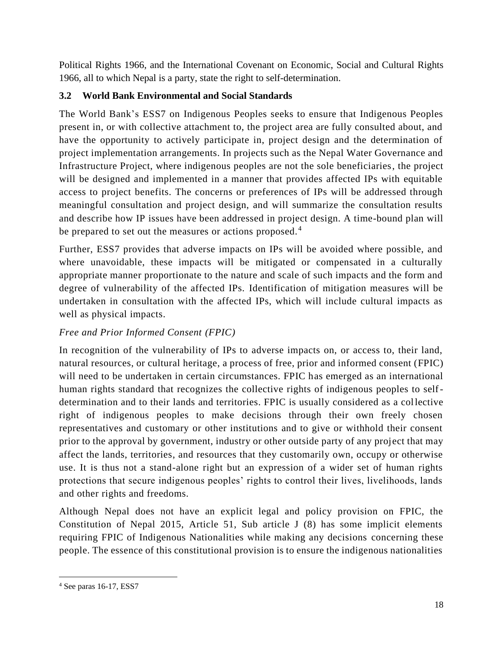Political Rights 1966, and the International Covenant on Economic, Social and Cultural Rights 1966, all to which Nepal is a party, state the right to self-determination.

# <span id="page-20-0"></span>**3.2 World Bank Environmental and Social Standards**

The World Bank's ESS7 on Indigenous Peoples seeks to ensure that Indigenous Peoples present in, or with collective attachment to, the project area are fully consulted about, and have the opportunity to actively participate in, project design and the determination of project implementation arrangements. In projects such as the Nepal Water Governance and Infrastructure Project, where indigenous peoples are not the sole beneficiaries, the project will be designed and implemented in a manner that provides affected IPs with equitable access to project benefits. The concerns or preferences of IPs will be addressed through meaningful consultation and project design, and will summarize the consultation results and describe how IP issues have been addressed in project design. A time-bound plan will be prepared to set out the measures or actions proposed.<sup>4</sup>

Further, ESS7 provides that adverse impacts on IPs will be avoided where possible, and where unavoidable, these impacts will be mitigated or compensated in a culturally appropriate manner proportionate to the nature and scale of such impacts and the form and degree of vulnerability of the affected IPs. Identification of mitigation measures will be undertaken in consultation with the affected IPs, which will include cultural impacts as well as physical impacts.

# *Free and Prior Informed Consent (FPIC)*

In recognition of the vulnerability of IPs to adverse impacts on, or access to, their land, natural resources, or cultural heritage, a process of free, prior and informed consent (FPIC) will need to be undertaken in certain circumstances. FPIC has emerged as an international human rights standard that recognizes the collective rights of indigenous peoples to selfdetermination and to their lands and territories. FPIC is usually considered as a collective right of indigenous peoples to make decisions through their own freely chosen representatives and customary or other institutions and to give or withhold their consent prior to the approval by government, industry or other outside party of any project that may affect the lands, territories, and resources that they customarily own, occupy or otherwise use. It is thus not a stand-alone right but an expression of a wider set of human rights protections that secure indigenous peoples' rights to control their lives, livelihoods, lands and other rights and freedoms.

Although Nepal does not have an explicit legal and policy provision on FPIC, the Constitution of Nepal 2015, Article 51, Sub article J (8) has some implicit elements requiring FPIC of Indigenous Nationalities while making any decisions concerning these people. The essence of this constitutional provision is to ensure the indigenous nationalities

<sup>4</sup> See paras 16-17, ESS7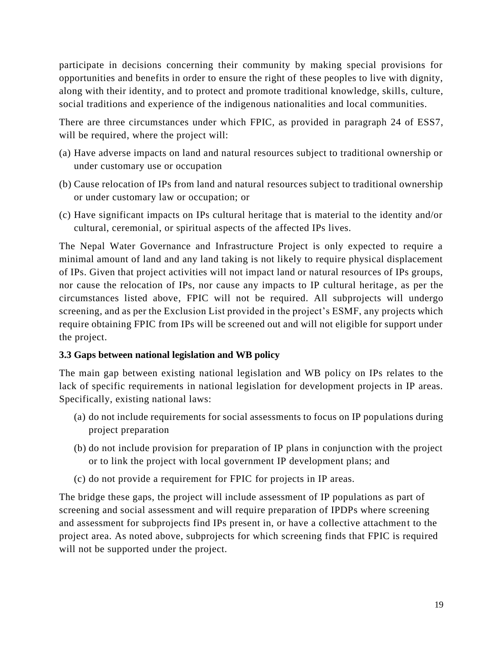participate in decisions concerning their community by making special provisions for opportunities and benefits in order to ensure the right of these peoples to live with dignity, along with their identity, and to protect and promote traditional knowledge, skills, culture, social traditions and experience of the indigenous nationalities and local communities.

There are three circumstances under which FPIC, as provided in paragraph 24 of ESS7, will be required, where the project will:

- (a) Have adverse impacts on land and natural resources subject to traditional ownership or under customary use or occupation
- (b) Cause relocation of IPs from land and natural resources subject to traditional ownership or under customary law or occupation; or
- (c) Have significant impacts on IPs cultural heritage that is material to the identity and/or cultural, ceremonial, or spiritual aspects of the affected IPs lives.

The Nepal Water Governance and Infrastructure Project is only expected to require a minimal amount of land and any land taking is not likely to require physical displacement of IPs. Given that project activities will not impact land or natural resources of IPs groups, nor cause the relocation of IPs, nor cause any impacts to IP cultural heritage, as per the circumstances listed above, FPIC will not be required. All subprojects will undergo screening, and as per the Exclusion List provided in the project's ESMF, any projects which require obtaining FPIC from IPs will be screened out and will not eligible for support under the project.

### <span id="page-21-0"></span>**3.3 Gaps between national legislation and WB policy**

The main gap between existing national legislation and WB policy on IPs relates to the lack of specific requirements in national legislation for development projects in IP areas. Specifically, existing national laws:

- (a) do not include requirements for social assessments to focus on IP populations during project preparation
- (b) do not include provision for preparation of IP plans in conjunction with the project or to link the project with local government IP development plans; and
- (c) do not provide a requirement for FPIC for projects in IP areas.

The bridge these gaps, the project will include assessment of IP populations as part of screening and social assessment and will require preparation of IPDPs where screening and assessment for subprojects find IPs present in, or have a collective attachment to the project area. As noted above, subprojects for which screening finds that FPIC is required will not be supported under the project.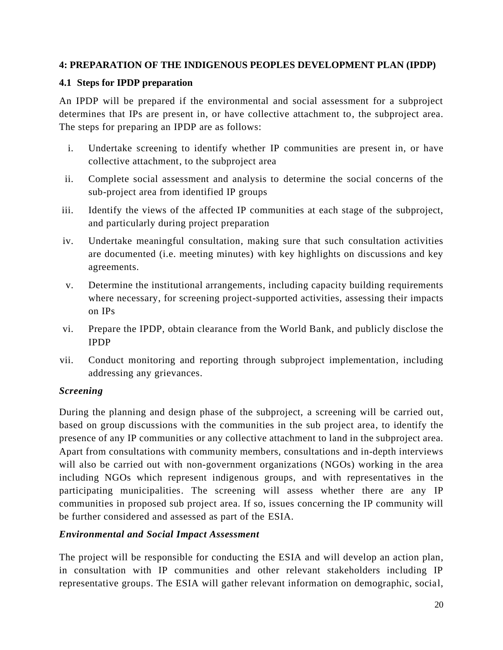#### <span id="page-22-0"></span>**4: PREPARATION OF THE INDIGENOUS PEOPLES DEVELOPMENT PLAN (IPDP)**

#### <span id="page-22-1"></span>**4.1 Steps for IPDP preparation**

An IPDP will be prepared if the environmental and social assessment for a subproject determines that IPs are present in, or have collective attachment to, the subproject area. The steps for preparing an IPDP are as follows:

- i. Undertake screening to identify whether IP communities are present in, or have collective attachment, to the subproject area
- ii. Complete social assessment and analysis to determine the social concerns of the sub-project area from identified IP groups
- iii. Identify the views of the affected IP communities at each stage of the subproject, and particularly during project preparation
- iv. Undertake meaningful consultation, making sure that such consultation activities are documented (i.e. meeting minutes) with key highlights on discussions and key agreements.
- v. Determine the institutional arrangements, including capacity building requirements where necessary, for screening project-supported activities, assessing their impacts on IPs
- vi. Prepare the IPDP, obtain clearance from the World Bank, and publicly disclose the IPDP
- vii. Conduct monitoring and reporting through subproject implementation, including addressing any grievances.

### *Screening*

During the planning and design phase of the subproject, a screening will be carried out, based on group discussions with the communities in the sub project area, to identify the presence of any IP communities or any collective attachment to land in the subproject area. Apart from consultations with community members, consultations and in-depth interviews will also be carried out with non-government organizations (NGOs) working in the area including NGOs which represent indigenous groups, and with representatives in the participating municipalities. The screening will assess whether there are any IP communities in proposed sub project area. If so, issues concerning the IP community will be further considered and assessed as part of the ESIA.

### *Environmental and Social Impact Assessment*

The project will be responsible for conducting the ESIA and will develop an action plan, in consultation with IP communities and other relevant stakeholders including IP representative groups. The ESIA will gather relevant information on demographic, social,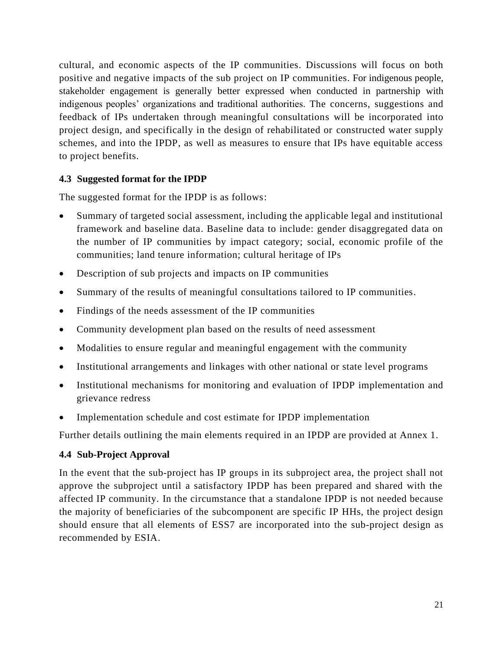cultural, and economic aspects of the IP communities. Discussions will focus on both positive and negative impacts of the sub project on IP communities. For indigenous people, stakeholder engagement is generally better expressed when conducted in partnership with indigenous peoples' organizations and traditional authorities. The concerns, suggestions and feedback of IPs undertaken through meaningful consultations will be incorporated into project design, and specifically in the design of rehabilitated or constructed water supply schemes, and into the IPDP, as well as measures to ensure that IPs have equitable access to project benefits.

#### <span id="page-23-0"></span>**4.3 Suggested format for the IPDP**

The suggested format for the IPDP is as follows:

- Summary of targeted social assessment, including the applicable legal and institutional framework and baseline data. Baseline data to include: gender disaggregated data on the number of IP communities by impact category; social, economic profile of the communities; land tenure information; cultural heritage of IPs
- Description of sub projects and impacts on IP communities
- Summary of the results of meaningful consultations tailored to IP communities.
- Findings of the needs assessment of the IP communities
- Community development plan based on the results of need assessment
- Modalities to ensure regular and meaningful engagement with the community
- Institutional arrangements and linkages with other national or state level programs
- Institutional mechanisms for monitoring and evaluation of IPDP implementation and grievance redress
- Implementation schedule and cost estimate for IPDP implementation

Further details outlining the main elements required in an IPDP are provided at Annex 1.

#### <span id="page-23-1"></span>**4.4 Sub-Project Approval**

In the event that the sub-project has IP groups in its subproject area, the project shall not approve the subproject until a satisfactory IPDP has been prepared and shared with the affected IP community. In the circumstance that a standalone IPDP is not needed because the majority of beneficiaries of the subcomponent are specific IP HHs, the project design should ensure that all elements of ESS7 are incorporated into the sub-project design as recommended by ESIA.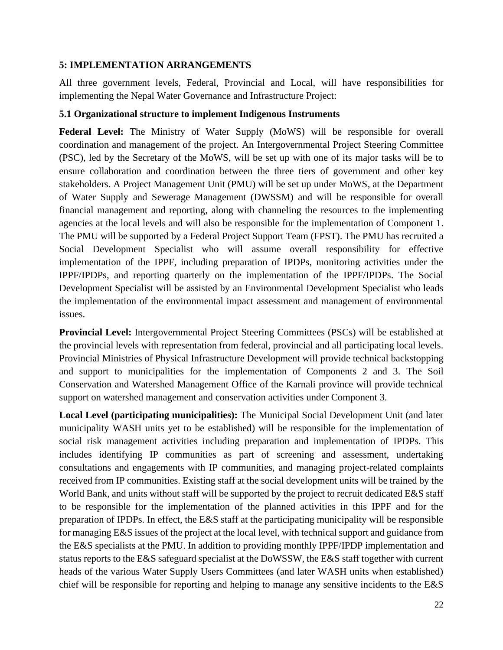#### <span id="page-24-0"></span>**5: IMPLEMENTATION ARRANGEMENTS**

All three government levels, Federal, Provincial and Local, will have responsibilities for implementing the Nepal Water Governance and Infrastructure Project:

#### <span id="page-24-1"></span>**5.1 Organizational structure to implement Indigenous Instruments**

**Federal Level:** The Ministry of Water Supply (MoWS) will be responsible for overall coordination and management of the project. An Intergovernmental Project Steering Committee (PSC), led by the Secretary of the MoWS, will be set up with one of its major tasks will be to ensure collaboration and coordination between the three tiers of government and other key stakeholders. A Project Management Unit (PMU) will be set up under MoWS, at the Department of Water Supply and Sewerage Management (DWSSM) and will be responsible for overall financial management and reporting, along with channeling the resources to the implementing agencies at the local levels and will also be responsible for the implementation of Component 1. The PMU will be supported by a Federal Project Support Team (FPST). The PMU has recruited a Social Development Specialist who will assume overall responsibility for effective implementation of the IPPF, including preparation of IPDPs, monitoring activities under the IPPF/IPDPs, and reporting quarterly on the implementation of the IPPF/IPDPs. The Social Development Specialist will be assisted by an Environmental Development Specialist who leads the implementation of the environmental impact assessment and management of environmental issues.

**Provincial Level:** Intergovernmental Project Steering Committees (PSCs) will be established at the provincial levels with representation from federal, provincial and all participating local levels. Provincial Ministries of Physical Infrastructure Development will provide technical backstopping and support to municipalities for the implementation of Components 2 and 3. The Soil Conservation and Watershed Management Office of the Karnali province will provide technical support on watershed management and conservation activities under Component 3.

**Local Level (participating municipalities):** The Municipal Social Development Unit (and later municipality WASH units yet to be established) will be responsible for the implementation of social risk management activities including preparation and implementation of IPDPs. This includes identifying IP communities as part of screening and assessment, undertaking consultations and engagements with IP communities, and managing project-related complaints received from IP communities. Existing staff at the social development units will be trained by the World Bank, and units without staff will be supported by the project to recruit dedicated E&S staff to be responsible for the implementation of the planned activities in this IPPF and for the preparation of IPDPs. In effect, the E&S staff at the participating municipality will be responsible for managing E&S issues of the project at the local level, with technical support and guidance from the E&S specialists at the PMU. In addition to providing monthly IPPF/IPDP implementation and status reports to the E&S safeguard specialist at the DoWSSW, the E&S staff together with current heads of the various Water Supply Users Committees (and later WASH units when established) chief will be responsible for reporting and helping to manage any sensitive incidents to the E&S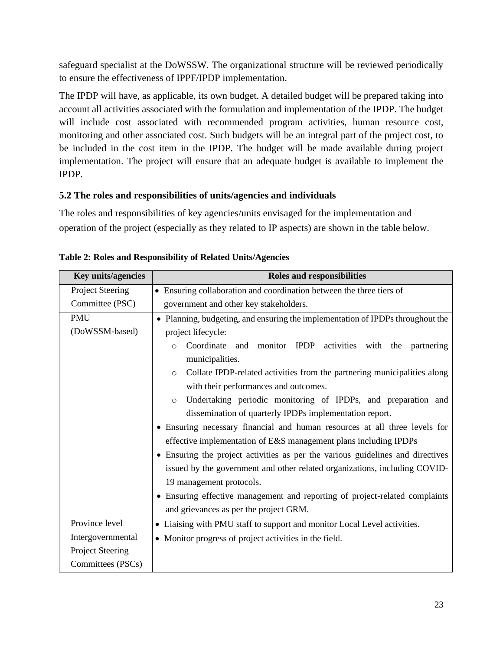safeguard specialist at the DoWSSW. The organizational structure will be reviewed periodically to ensure the effectiveness of IPPF/IPDP implementation.

The IPDP will have, as applicable, its own budget. A detailed budget will be prepared taking into account all activities associated with the formulation and implementation of the IPDP. The budget will include cost associated with recommended program activities, human resource cost, monitoring and other associated cost. Such budgets will be an integral part of the project cost, to be included in the cost item in the IPDP. The budget will be made available during project implementation. The project will ensure that an adequate budget is available to implement the IPDP.

## <span id="page-25-0"></span>**5.2 The roles and responsibilities of units/agencies and individuals**

The roles and responsibilities of key agencies/units envisaged for the implementation and operation of the project (especially as they related to IP aspects) are shown in the table below.

| Key units/agencies                                                                                                                                                                                                                                                                                                                                                                                                                                                                                                                                                                                                                                                                                                                                                                                                                                                                                                                   | <b>Roles and responsibilities</b>                                                                                  |  |  |
|--------------------------------------------------------------------------------------------------------------------------------------------------------------------------------------------------------------------------------------------------------------------------------------------------------------------------------------------------------------------------------------------------------------------------------------------------------------------------------------------------------------------------------------------------------------------------------------------------------------------------------------------------------------------------------------------------------------------------------------------------------------------------------------------------------------------------------------------------------------------------------------------------------------------------------------|--------------------------------------------------------------------------------------------------------------------|--|--|
| Project Steering                                                                                                                                                                                                                                                                                                                                                                                                                                                                                                                                                                                                                                                                                                                                                                                                                                                                                                                     | • Ensuring collaboration and coordination between the three tiers of                                               |  |  |
| Committee (PSC)                                                                                                                                                                                                                                                                                                                                                                                                                                                                                                                                                                                                                                                                                                                                                                                                                                                                                                                      | government and other key stakeholders.                                                                             |  |  |
| <b>PMU</b><br>• Planning, budgeting, and ensuring the implementation of IPDPs throughout the<br>(DoWSSM-based)<br>project lifecycle:<br>Coordinate and monitor IPDP activities with the partnering<br>$\circ$<br>municipalities.<br>Collate IPDP-related activities from the partnering municipalities along<br>$\circ$<br>with their performances and outcomes.<br>Undertaking periodic monitoring of IPDPs, and preparation and<br>$\circ$<br>dissemination of quarterly IPDPs implementation report.<br>• Ensuring necessary financial and human resources at all three levels for<br>effective implementation of E&S management plans including IPDPs<br>• Ensuring the project activities as per the various guidelines and directives<br>issued by the government and other related organizations, including COVID-<br>19 management protocols.<br>• Ensuring effective management and reporting of project-related complaints |                                                                                                                    |  |  |
| Province level                                                                                                                                                                                                                                                                                                                                                                                                                                                                                                                                                                                                                                                                                                                                                                                                                                                                                                                       | and grievances as per the project GRM.<br>• Liaising with PMU staff to support and monitor Local Level activities. |  |  |
| Intergovernmental                                                                                                                                                                                                                                                                                                                                                                                                                                                                                                                                                                                                                                                                                                                                                                                                                                                                                                                    | • Monitor progress of project activities in the field.                                                             |  |  |
| <b>Project Steering</b>                                                                                                                                                                                                                                                                                                                                                                                                                                                                                                                                                                                                                                                                                                                                                                                                                                                                                                              |                                                                                                                    |  |  |
| Committees (PSCs)                                                                                                                                                                                                                                                                                                                                                                                                                                                                                                                                                                                                                                                                                                                                                                                                                                                                                                                    |                                                                                                                    |  |  |

<span id="page-25-1"></span>

| Table 2: Roles and Responsibility of Related Units/Agencies |  |  |  |
|-------------------------------------------------------------|--|--|--|
|-------------------------------------------------------------|--|--|--|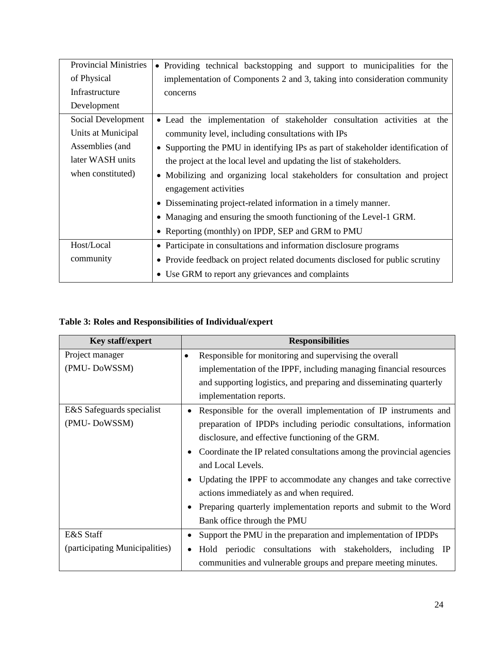| <b>Provincial Ministries</b>                                                                     | • Providing technical backstopping and support to municipalities for the         |
|--------------------------------------------------------------------------------------------------|----------------------------------------------------------------------------------|
| of Physical                                                                                      | implementation of Components 2 and 3, taking into consideration community        |
| Infrastructure                                                                                   | concerns                                                                         |
| Development                                                                                      |                                                                                  |
| Social Development                                                                               | • Lead the implementation of stakeholder consultation activities at the          |
| Units at Municipal                                                                               | community level, including consultations with IPs                                |
| Assemblies (and                                                                                  | • Supporting the PMU in identifying IPs as part of stakeholder identification of |
| later WASH units<br>the project at the local level and updating the list of stakeholders.        |                                                                                  |
| when constituted)<br>• Mobilizing and organizing local stakeholders for consultation and project |                                                                                  |
|                                                                                                  | engagement activities                                                            |
|                                                                                                  | • Disseminating project-related information in a timely manner.                  |
|                                                                                                  | • Managing and ensuring the smooth functioning of the Level-1 GRM.               |
|                                                                                                  | • Reporting (monthly) on IPDP, SEP and GRM to PMU                                |
| Host/Local                                                                                       | • Participate in consultations and information disclosure programs               |
| community                                                                                        | • Provide feedback on project related documents disclosed for public scrutiny    |
|                                                                                                  | • Use GRM to report any grievances and complaints                                |

## <span id="page-26-0"></span>**Table 3: Roles and Responsibilities of Individual/expert**

| <b>Key staff/expert</b>        | <b>Responsibilities</b>                                               |  |
|--------------------------------|-----------------------------------------------------------------------|--|
| Project manager                | Responsible for monitoring and supervising the overall<br>٠           |  |
| (PMU-DoWSSM)                   | implementation of the IPPF, including managing financial resources    |  |
|                                | and supporting logistics, and preparing and disseminating quarterly   |  |
|                                | implementation reports.                                               |  |
| E&S Safeguards specialist      | Responsible for the overall implementation of IP instruments and      |  |
| (PMU-DoWSSM)                   | preparation of IPDPs including periodic consultations, information    |  |
|                                | disclosure, and effective functioning of the GRM.                     |  |
|                                | Coordinate the IP related consultations among the provincial agencies |  |
|                                | and Local Levels.                                                     |  |
|                                | Updating the IPPF to accommodate any changes and take corrective      |  |
|                                | actions immediately as and when required.                             |  |
|                                | Preparing quarterly implementation reports and submit to the Word     |  |
|                                | Bank office through the PMU                                           |  |
| E&S Staff                      | Support the PMU in the preparation and implementation of IPDPs<br>٠   |  |
| (participating Municipalities) | Hold periodic consultations with stakeholders, including IP           |  |
|                                | communities and vulnerable groups and prepare meeting minutes.        |  |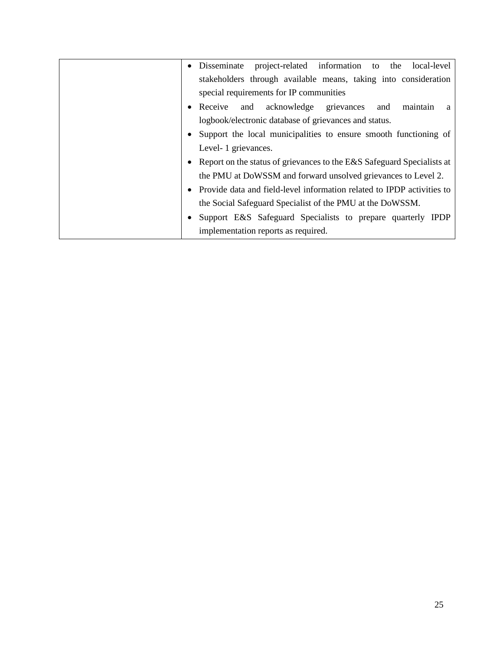| $\bullet$ | project-related information to the<br>Disseminate<br>local-level         |
|-----------|--------------------------------------------------------------------------|
|           | stakeholders through available means, taking into consideration          |
|           | special requirements for IP communities                                  |
| $\bullet$ | and acknowledge<br>Receive<br>grievances<br>maintain<br>and<br>a         |
|           | logbook/electronic database of grievances and status.                    |
|           | • Support the local municipalities to ensure smooth functioning of       |
|           | Level- 1 grievances.                                                     |
|           | • Report on the status of grievances to the E&S Safeguard Specialists at |
|           | the PMU at DoWSSM and forward unsolved grievances to Level 2.            |
|           | Provide data and field-level information related to IPDP activities to   |
|           | the Social Safeguard Specialist of the PMU at the DoWSSM.                |
|           | Support E&S Safeguard Specialists to prepare quarterly IPDP              |
|           | implementation reports as required.                                      |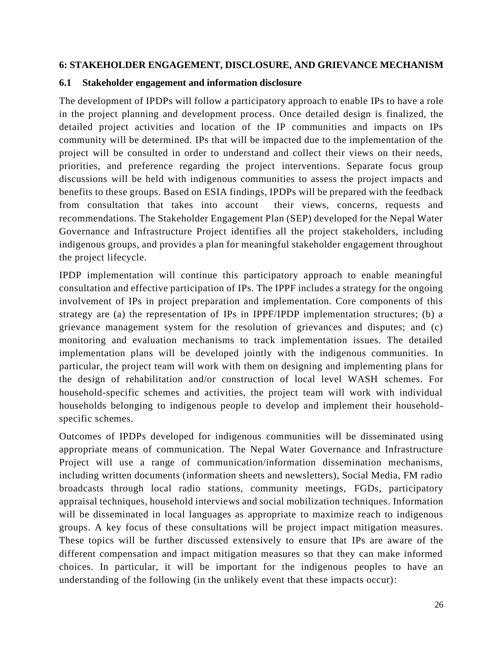#### <span id="page-28-0"></span>**6: STAKEHOLDER ENGAGEMENT, DISCLOSURE, AND GRIEVANCE MECHANISM**

#### <span id="page-28-1"></span>**6.1 Stakeholder engagement and information disclosure**

The development of IPDPs will follow a participatory approach to enable IPs to have a role in the project planning and development process. Once detailed design is finalized, the detailed project activities and location of the IP communities and impacts on IPs community will be determined. IPs that will be impacted due to the implementation of the project will be consulted in order to understand and collect their views on their needs, priorities, and preference regarding the project interventions. Separate focus group discussions will be held with indigenous communities to assess the project impacts and benefits to these groups. Based on ESIA findings, IPDPs will be prepared with the feedback from consultation that takes into account their views, concerns, requests and recommendations. The Stakeholder Engagement Plan (SEP) developed for the Nepal Water Governance and Infrastructure Project identifies all the project stakeholders, including indigenous groups, and provides a plan for meaningful stakeholder engagement throughout the project lifecycle.

IPDP implementation will continue this participatory approach to enable meaningful consultation and effective participation of IPs. The IPPF includes a strategy for the ongoing involvement of IPs in project preparation and implementation. Core components of this strategy are (a) the representation of IPs in IPPF/IPDP implementation structures; (b) a grievance management system for the resolution of grievances and disputes; and (c) monitoring and evaluation mechanisms to track implementation issues. The detailed implementation plans will be developed jointly with the indigenous communities. In particular, the project team will work with them on designing and implementing plans for the design of rehabilitation and/or construction of local level WASH schemes. For household-specific schemes and activities, the project team will work with individual households belonging to indigenous people to develop and implement their householdspecific schemes.

Outcomes of IPDPs developed for indigenous communities will be disseminated using appropriate means of communication. The Nepal Water Governance and Infrastructure Project will use a range of communication/information dissemination mechanisms, including written documents (information sheets and newsletters), Social Media, FM radio broadcasts through local radio stations, community meetings, FGDs, participatory appraisal techniques, household interviews and social mobilization techniques. Information will be disseminated in local languages as appropriate to maximize reach to indigenous groups. A key focus of these consultations will be project impact mitigation measures. These topics will be further discussed extensively to ensure that IPs are aware of the different compensation and impact mitigation measures so that they can make informed choices. In particular, it will be important for the indigenous peoples to have an understanding of the following (in the unlikely event that these impacts occur):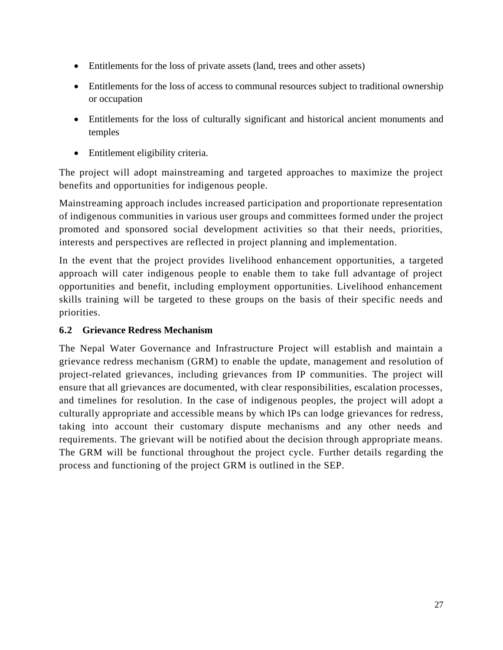- Entitlements for the loss of private assets (land, trees and other assets)
- Entitlements for the loss of access to communal resources subject to traditional ownership or occupation
- Entitlements for the loss of culturally significant and historical ancient monuments and temples
- Entitlement eligibility criteria.

The project will adopt mainstreaming and targeted approaches to maximize the project benefits and opportunities for indigenous people.

Mainstreaming approach includes increased participation and proportionate representation of indigenous communities in various user groups and committees formed under the project promoted and sponsored social development activities so that their needs, priorities, interests and perspectives are reflected in project planning and implementation.

In the event that the project provides livelihood enhancement opportunities, a targeted approach will cater indigenous people to enable them to take full advantage of project opportunities and benefit, including employment opportunities. Livelihood enhancement skills training will be targeted to these groups on the basis of their specific needs and priorities.

### <span id="page-29-0"></span>**6.2 Grievance Redress Mechanism**

The Nepal Water Governance and Infrastructure Project will establish and maintain a grievance redress mechanism (GRM) to enable the update, management and resolution of project-related grievances, including grievances from IP communities. The project will ensure that all grievances are documented, with clear responsibilities, escalation processes, and timelines for resolution. In the case of indigenous peoples, the project will adopt a culturally appropriate and accessible means by which IPs can lodge grievances for redress, taking into account their customary dispute mechanisms and any other needs and requirements. The grievant will be notified about the decision through appropriate means. The GRM will be functional throughout the project cycle. Further details regarding the process and functioning of the project GRM is outlined in the SEP.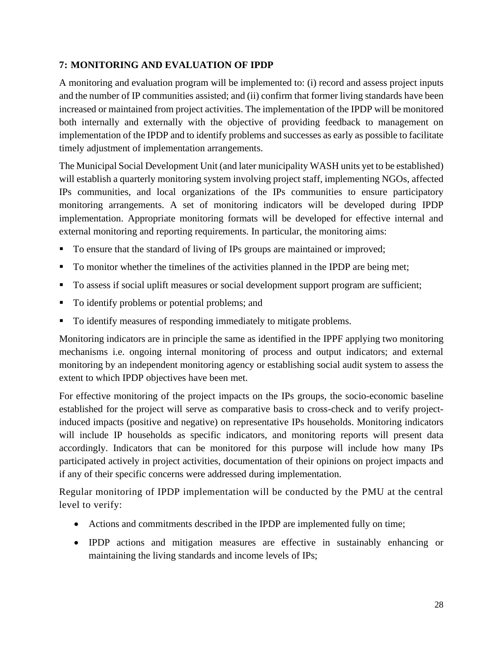#### <span id="page-30-0"></span>**7: MONITORING AND EVALUATION OF IPDP**

A monitoring and evaluation program will be implemented to: (i) record and assess project inputs and the number of IP communities assisted; and (ii) confirm that former living standards have been increased or maintained from project activities. The implementation of the IPDP will be monitored both internally and externally with the objective of providing feedback to management on implementation of the IPDP and to identify problems and successes as early as possible to facilitate timely adjustment of implementation arrangements.

The Municipal Social Development Unit (and later municipality WASH units yet to be established) will establish a quarterly monitoring system involving project staff, implementing NGOs, affected IPs communities, and local organizations of the IPs communities to ensure participatory monitoring arrangements. A set of monitoring indicators will be developed during IPDP implementation. Appropriate monitoring formats will be developed for effective internal and external monitoring and reporting requirements. In particular, the monitoring aims:

- To ensure that the standard of living of IPs groups are maintained or improved;
- To monitor whether the timelines of the activities planned in the IPDP are being met;
- To assess if social uplift measures or social development support program are sufficient;
- To identify problems or potential problems; and
- To identify measures of responding immediately to mitigate problems.

Monitoring indicators are in principle the same as identified in the IPPF applying two monitoring mechanisms i.e. ongoing internal monitoring of process and output indicators; and external monitoring by an independent monitoring agency or establishing social audit system to assess the extent to which IPDP objectives have been met.

For effective monitoring of the project impacts on the IPs groups, the socio-economic baseline established for the project will serve as comparative basis to cross-check and to verify projectinduced impacts (positive and negative) on representative IPs households. Monitoring indicators will include IP households as specific indicators, and monitoring reports will present data accordingly. Indicators that can be monitored for this purpose will include how many IPs participated actively in project activities, documentation of their opinions on project impacts and if any of their specific concerns were addressed during implementation.

Regular monitoring of IPDP implementation will be conducted by the PMU at the central level to verify:

- Actions and commitments described in the IPDP are implemented fully on time;
- IPDP actions and mitigation measures are effective in sustainably enhancing or maintaining the living standards and income levels of IPs;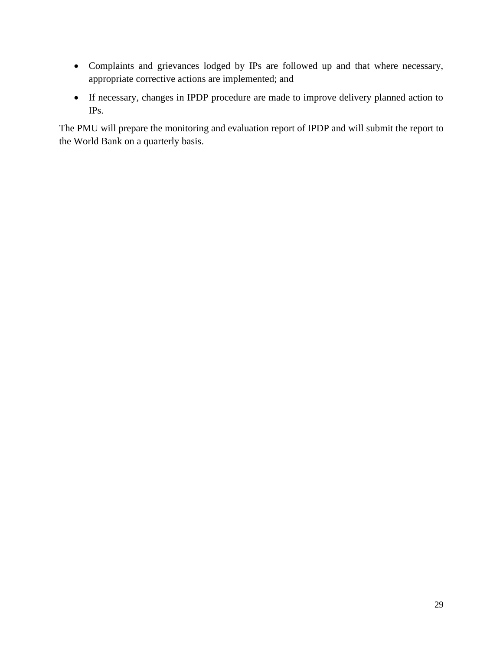- Complaints and grievances lodged by IPs are followed up and that where necessary, appropriate corrective actions are implemented; and
- If necessary, changes in IPDP procedure are made to improve delivery planned action to IPs.

The PMU will prepare the monitoring and evaluation report of IPDP and will submit the report to the World Bank on a quarterly basis.